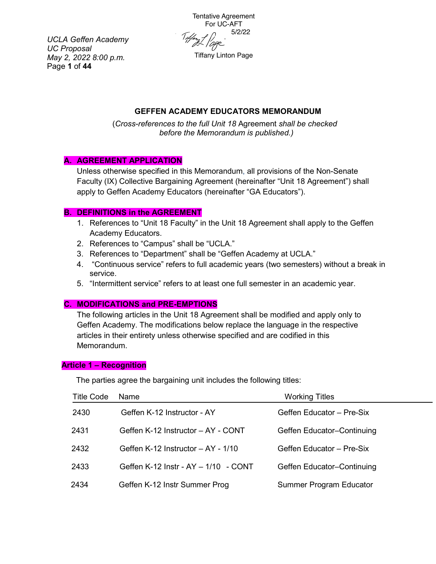*UCLA Geffen Academy UC Proposal May 2, 2022 8:00 p.m.* Page **1** of **44**

Tentative Agreement For UC-AFT Tiffery 1<br>Times 1<br>april 1 Tiffany Linton Page

# **GEFFEN ACADEMY EDUCATORS MEMORANDUM**

(*Cross-references to the full Unit 18* Agreement *shall be checked before the Memorandum is published.)*

### **A. AGREEMENT APPLICATION**

Unless otherwise specified in this Memorandum, all provisions of the Non-Senate Faculty (IX) Collective Bargaining Agreement (hereinafter "Unit 18 Agreement") shall apply to Geffen Academy Educators (hereinafter "GA Educators").

#### **B. DEFINITIONS in the AGREEMENT**

- 1. References to "Unit 18 Faculty" in the Unit 18 Agreement shall apply to the Geffen Academy Educators.
- 2. References to "Campus" shall be "UCLA."
- 3. References to "Department" shall be "Geffen Academy at UCLA."
- 4. "Continuous service" refers to full academic years (two semesters) without a break in service.
- 5. "Intermittent service" refers to at least one full semester in an academic year.

#### **C. MODIFICATIONS and PRE-EMPTIONS**

The following articles in the Unit 18 Agreement shall be modified and apply only to Geffen Academy. The modifications below replace the language in the respective articles in their entirety unless otherwise specified and are codified in this Memorandum.

#### **Article 1 – Recognition**

The parties agree the bargaining unit includes the following titles:

| Title Code | Name                                          | <b>Working Titles</b>          |
|------------|-----------------------------------------------|--------------------------------|
| 2430       | Geffen K-12 Instructor - AY                   | Geffen Educator - Pre-Six      |
| 2431       | Geffen K-12 Instructor - AY - CONT            | Geffen Educator-Continuing     |
| 2432       | Geffen K-12 Instructor – AY - 1/10            | Geffen Educator - Pre-Six      |
| 2433       | Geffen K-12 Instr - $AY - 1/10 - \text{CONT}$ | Geffen Educator-Continuing     |
| 2434       | Geffen K-12 Instr Summer Prog                 | <b>Summer Program Educator</b> |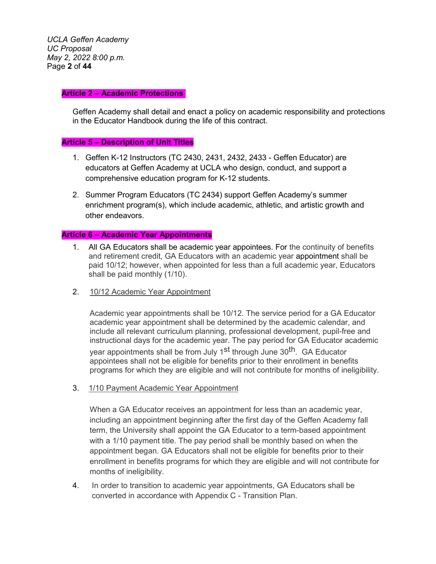*UCLA Geffen Academy UC Proposal May 2, 2022 8:00 p.m.* Page **2** of **44**

#### **Article 2 – Academic Protections**

Geffen Academy shall detail and enact a policy on academic responsibility and protections in the Educator Handbook during the life of this contract.

#### **Article 5 – Description of Unit Titles**

- 1. Geffen K-12 Instructors (TC 2430, 2431, 2432, 2433 Geffen Educator) are educators at Geffen Academy at UCLA who design, conduct, and support a comprehensive education program for K-12 students.
- 2. Summer Program Educators (TC 2434) support Geffen Academy's summer enrichment program(s), which include academic, athletic, and artistic growth and other endeavors.

#### **Article 6 – Academic Year Appointments**

- 1. All GA Educators shall be academic year appointees. For the continuity of benefits and retirement credit, GA Educators with an academic year appointment shall be paid 10/12; however, when appointed for less than a full academic year, Educators shall be paid monthly (1/10).
- 2. 10/12 Academic Year Appointment

Academic year appointments shall be 10/12. The service period for a GA Educator academic year appointment shall be determined by the academic calendar, and include all relevant curriculum planning, professional development, pupil-free and instructional days for the academic year. The pay period for GA Educator academic year appointments shall be from July 1<sup>st</sup> through June 30<sup>th</sup>. GA Educator appointees shall not be eligible for benefits prior to their enrollment in benefits programs for which they are eligible and will not contribute for months of ineligibility.

3. 1/10 Payment Academic Year Appointment

When a GA Educator receives an appointment for less than an academic year, including an appointment beginning after the first day of the Geffen Academy fall term, the University shall appoint the GA Educator to a term-based appointment with a 1/10 payment title. The pay period shall be monthly based on when the appointment began. GA Educators shall not be eligible for benefits prior to their enrollment in benefits programs for which they are eligible and will not contribute for months of ineligibility.

4. In order to transition to academic year appointments, GA Educators shall be converted in accordance with Appendix C - Transition Plan.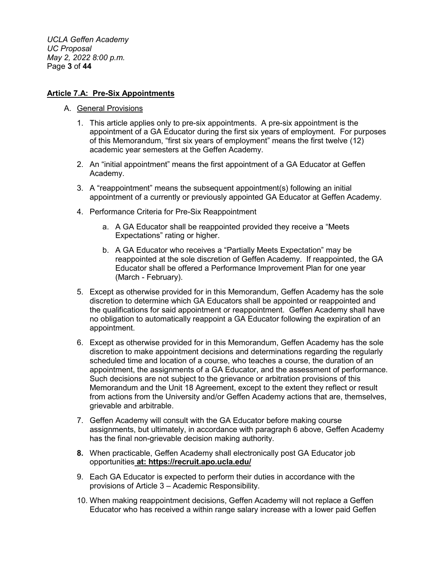*UCLA Geffen Academy UC Proposal May 2, 2022 8:00 p.m.* Page **3** of **44**

#### **Article 7.A: Pre-Six Appointments**

- A. General Provisions
	- 1. This article applies only to pre-six appointments. A pre-six appointment is the appointment of a GA Educator during the first six years of employment. For purposes of this Memorandum, "first six years of employment" means the first twelve (12) academic year semesters at the Geffen Academy.
	- 2. An "initial appointment" means the first appointment of a GA Educator at Geffen Academy.
	- 3. A "reappointment" means the subsequent appointment(s) following an initial appointment of a currently or previously appointed GA Educator at Geffen Academy.
	- 4. Performance Criteria for Pre-Six Reappointment
		- a. A GA Educator shall be reappointed provided they receive a "Meets Expectations" rating or higher.
		- b. A GA Educator who receives a "Partially Meets Expectation" may be reappointed at the sole discretion of Geffen Academy. If reappointed, the GA Educator shall be offered a Performance Improvement Plan for one year (March - February).
	- 5. Except as otherwise provided for in this Memorandum, Geffen Academy has the sole discretion to determine which GA Educators shall be appointed or reappointed and the qualifications for said appointment or reappointment. Geffen Academy shall have no obligation to automatically reappoint a GA Educator following the expiration of an appointment.
	- 6. Except as otherwise provided for in this Memorandum, Geffen Academy has the sole discretion to make appointment decisions and determinations regarding the regularly scheduled time and location of a course, who teaches a course, the duration of an appointment, the assignments of a GA Educator, and the assessment of performance. Such decisions are not subject to the grievance or arbitration provisions of this Memorandum and the Unit 18 Agreement, except to the extent they reflect or result from actions from the University and/or Geffen Academy actions that are, themselves, grievable and arbitrable.
	- 7. Geffen Academy will consult with the GA Educator before making course assignments, but ultimately, in accordance with paragraph 6 above, Geffen Academy has the final non-grievable decision making authority.
	- **8.** When practicable, Geffen Academy shall electronically post GA Educator job opportunities **at: https://recruit.apo.ucla.edu/**
	- 9. Each GA Educator is expected to perform their duties in accordance with the provisions of Article 3 – Academic Responsibility.
	- 10. When making reappointment decisions, Geffen Academy will not replace a Geffen Educator who has received a within range salary increase with a lower paid Geffen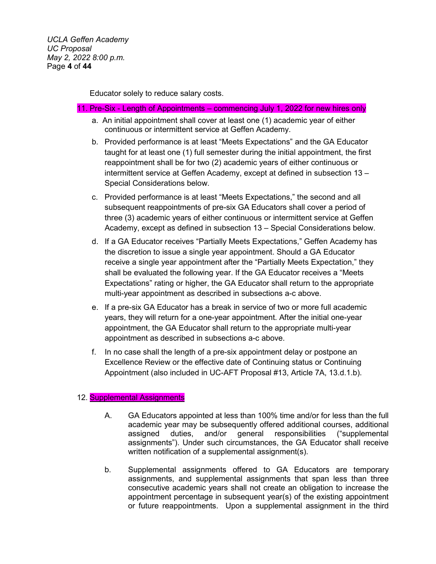Educator solely to reduce salary costs.

#### 11. Pre-Six - Length of Appointments – commencing July 1, 2022 for new hires only

- a. An initial appointment shall cover at least one (1) academic year of either continuous or intermittent service at Geffen Academy.
- b. Provided performance is at least "Meets Expectations" and the GA Educator taught for at least one (1) full semester during the initial appointment, the first reappointment shall be for two (2) academic years of either continuous or intermittent service at Geffen Academy, except at defined in subsection 13 – Special Considerations below.
- c. Provided performance is at least "Meets Expectations," the second and all subsequent reappointments of pre-six GA Educators shall cover a period of three (3) academic years of either continuous or intermittent service at Geffen Academy, except as defined in subsection 13 – Special Considerations below.
- d. If a GA Educator receives "Partially Meets Expectations," Geffen Academy has the discretion to issue a single year appointment. Should a GA Educator receive a single year appointment after the "Partially Meets Expectation," they shall be evaluated the following year. If the GA Educator receives a "Meets Expectations" rating or higher, the GA Educator shall return to the appropriate multi-year appointment as described in subsections a-c above.
- e. If a pre-six GA Educator has a break in service of two or more full academic years, they will return for a one-year appointment. After the initial one-year appointment, the GA Educator shall return to the appropriate multi-year appointment as described in subsections a-c above.
- f. In no case shall the length of a pre-six appointment delay or postpone an Excellence Review or the effective date of Continuing status or Continuing Appointment (also included in UC-AFT Proposal #13, Article 7A, 13.d.1.b).

#### 12. **Supplemental Assignments**

- A. GA Educators appointed at less than 100% time and/or for less than the full academic year may be subsequently offered additional courses, additional assigned duties, and/or general responsibilities ("supplemental assignments"). Under such circumstances, the GA Educator shall receive written notification of a supplemental assignment(s).
- b. Supplemental assignments offered to GA Educators are temporary assignments, and supplemental assignments that span less than three consecutive academic years shall not create an obligation to increase the appointment percentage in subsequent year(s) of the existing appointment or future reappointments. Upon a supplemental assignment in the third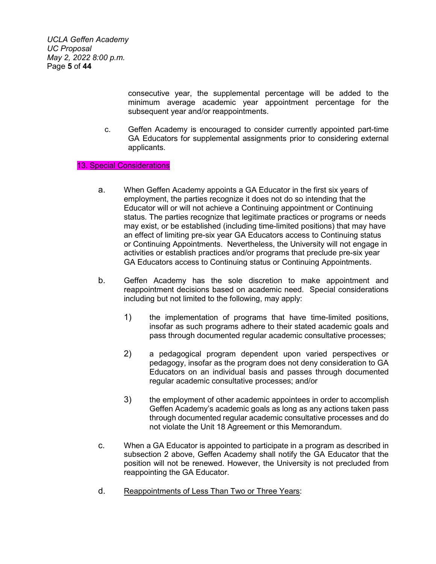*UCLA Geffen Academy UC Proposal May 2, 2022 8:00 p.m.* Page **5** of **44**

> consecutive year, the supplemental percentage will be added to the minimum average academic year appointment percentage for the subsequent year and/or reappointments.

c. Geffen Academy is encouraged to consider currently appointed part-time GA Educators for supplemental assignments prior to considering external applicants.

13. Special Considerations

- a. When Geffen Academy appoints a GA Educator in the first six years of employment, the parties recognize it does not do so intending that the Educator will or will not achieve a Continuing appointment or Continuing status. The parties recognize that legitimate practices or programs or needs may exist, or be established (including time-limited positions) that may have an effect of limiting pre-six year GA Educators access to Continuing status or Continuing Appointments. Nevertheless, the University will not engage in activities or establish practices and/or programs that preclude pre-six year GA Educators access to Continuing status or Continuing Appointments.
- b. Geffen Academy has the sole discretion to make appointment and reappointment decisions based on academic need. Special considerations including but not limited to the following, may apply:
	- 1) the implementation of programs that have time-limited positions, insofar as such programs adhere to their stated academic goals and pass through documented regular academic consultative processes;
	- 2) a pedagogical program dependent upon varied perspectives or pedagogy, insofar as the program does not deny consideration to GA Educators on an individual basis and passes through documented regular academic consultative processes; and/or
	- 3) the employment of other academic appointees in order to accomplish Geffen Academy's academic goals as long as any actions taken pass through documented regular academic consultative processes and do not violate the Unit 18 Agreement or this Memorandum.
- c. When a GA Educator is appointed to participate in a program as described in subsection 2 above, Geffen Academy shall notify the GA Educator that the position will not be renewed. However, the University is not precluded from reappointing the GA Educator.
- d. Reappointments of Less Than Two or Three Years: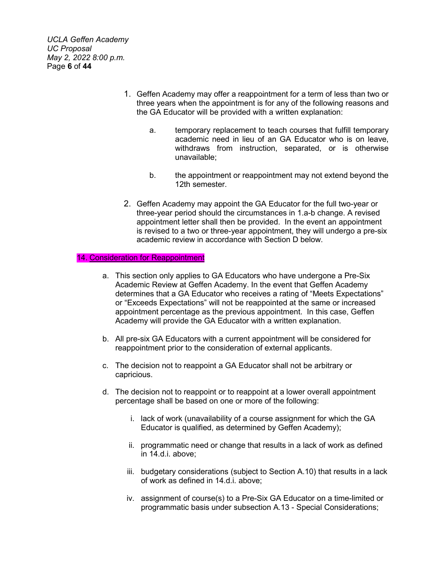*UCLA Geffen Academy UC Proposal May 2, 2022 8:00 p.m.* Page **6** of **44**

- 1. Geffen Academy may offer a reappointment for a term of less than two or three years when the appointment is for any of the following reasons and the GA Educator will be provided with a written explanation:
	- a. temporary replacement to teach courses that fulfill temporary academic need in lieu of an GA Educator who is on leave, withdraws from instruction, separated, or is otherwise unavailable;
	- b. the appointment or reappointment may not extend beyond the 12th semester.
- 2. Geffen Academy may appoint the GA Educator for the full two-year or three-year period should the circumstances in 1.a-b change. A revised appointment letter shall then be provided. In the event an appointment is revised to a two or three-year appointment, they will undergo a pre-six academic review in accordance with Section D below.

#### 14. Consideration for Reappointment

- a. This section only applies to GA Educators who have undergone a Pre-Six Academic Review at Geffen Academy. In the event that Geffen Academy determines that a GA Educator who receives a rating of "Meets Expectations" or "Exceeds Expectations" will not be reappointed at the same or increased appointment percentage as the previous appointment. In this case, Geffen Academy will provide the GA Educator with a written explanation.
- b. All pre-six GA Educators with a current appointment will be considered for reappointment prior to the consideration of external applicants.
- c. The decision not to reappoint a GA Educator shall not be arbitrary or capricious.
- d. The decision not to reappoint or to reappoint at a lower overall appointment percentage shall be based on one or more of the following:
	- i. lack of work (unavailability of a course assignment for which the GA Educator is qualified, as determined by Geffen Academy);
	- ii. programmatic need or change that results in a lack of work as defined in 14.d.i. above;
	- iii. budgetary considerations (subject to Section A.10) that results in a lack of work as defined in 14.d.i. above;
	- iv. assignment of course(s) to a Pre-Six GA Educator on a time-limited or programmatic basis under subsection A.13 - Special Considerations;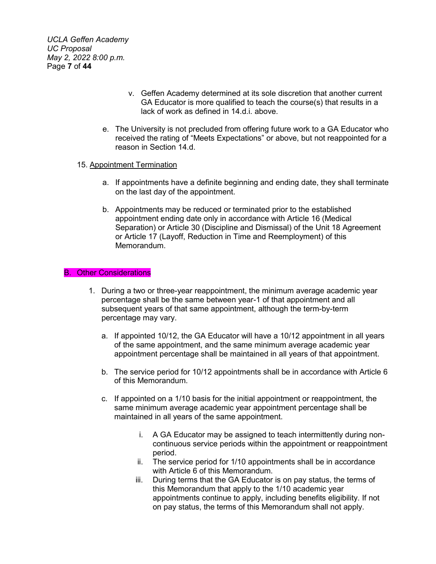*UCLA Geffen Academy UC Proposal May 2, 2022 8:00 p.m.* Page **7** of **44**

- v. Geffen Academy determined at its sole discretion that another current GA Educator is more qualified to teach the course(s) that results in a lack of work as defined in 14.d.i. above.
- e. The University is not precluded from offering future work to a GA Educator who received the rating of "Meets Expectations" or above, but not reappointed for a reason in Section 14.d.

#### 15. Appointment Termination

- a. If appointments have a definite beginning and ending date, they shall terminate on the last day of the appointment.
- b. Appointments may be reduced or terminated prior to the established appointment ending date only in accordance with Article 16 (Medical Separation) or Article 30 (Discipline and Dismissal) of the Unit 18 Agreement or Article 17 (Layoff, Reduction in Time and Reemployment) of this Memorandum.

#### B. Other Considerations

- 1. During a two or three-year reappointment, the minimum average academic year percentage shall be the same between year-1 of that appointment and all subsequent years of that same appointment, although the term-by-term percentage may vary.
	- a. If appointed 10/12, the GA Educator will have a 10/12 appointment in all years of the same appointment, and the same minimum average academic year appointment percentage shall be maintained in all years of that appointment.
	- b. The service period for 10/12 appointments shall be in accordance with Article 6 of this Memorandum.
	- c. If appointed on a 1/10 basis for the initial appointment or reappointment, the same minimum average academic year appointment percentage shall be maintained in all years of the same appointment.
		- i. A GA Educator may be assigned to teach intermittently during noncontinuous service periods within the appointment or reappointment period.
		- ii. The service period for 1/10 appointments shall be in accordance with Article 6 of this Memorandum.
		- iii. During terms that the GA Educator is on pay status, the terms of this Memorandum that apply to the 1/10 academic year appointments continue to apply, including benefits eligibility. If not on pay status, the terms of this Memorandum shall not apply.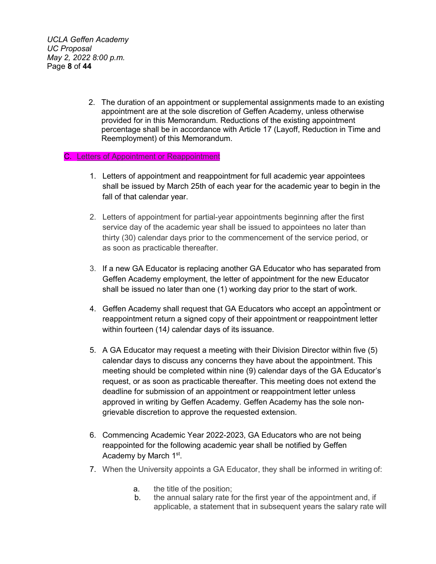*UCLA Geffen Academy UC Proposal May 2, 2022 8:00 p.m.* Page **8** of **44**

> 2. The duration of an appointment or supplemental assignments made to an existing appointment are at the sole discretion of Geffen Academy, unless otherwise provided for in this Memorandum. Reductions of the existing appointment percentage shall be in accordance with Article 17 (Layoff, Reduction in Time and Reemployment) of this Memorandum.

#### C. Letters of Appointment or Reappointment

- 1. Letters of appointment and reappointment for full academic year appointees shall be issued by March 25th of each year for the academic year to begin in the fall of that calendar year.
- 2. Letters of appointment for partial-year appointments beginning after the first service day of the academic year shall be issued to appointees no later than thirty (30) calendar days prior to the commencement of the service period, or as soon as practicable thereafter.
- 3. If a new GA Educator is replacing another GA Educator who has separated from Geffen Academy employment, the letter of appointment for the new Educator shall be issued no later than one (1) working day prior to the start of work.
- 4. Geffen Academy shall request that GA Educators who accept an appointment or reappointment return a signed copy of their appointment or reappointment letter within fourteen (14*)* calendar days of its issuance.
- 5. A GA Educator may request a meeting with their Division Director within five (5) calendar days to discuss any concerns they have about the appointment. This meeting should be completed within nine (9) calendar days of the GA Educator's request, or as soon as practicable thereafter. This meeting does not extend the deadline for submission of an appointment or reappointment letter unless approved in writing by Geffen Academy. Geffen Academy has the sole nongrievable discretion to approve the requested extension.
- 6. Commencing Academic Year 2022-2023, GA Educators who are not being reappointed for the following academic year shall be notified by Geffen Academy by March 1<sup>st</sup>.
- 7. When the University appoints a GA Educator, they shall be informed in writing of:
	- a. the title of the position;
	- b. the annual salary rate for the first year of the appointment and, if applicable, a statement that in subsequent years the salary rate will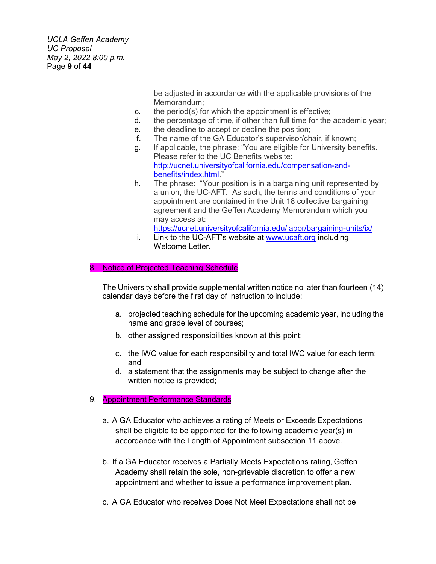*UCLA Geffen Academy UC Proposal May 2, 2022 8:00 p.m.* Page **9** of **44**

> be adjusted in accordance with the applicable provisions of the Memorandum;

- c. the period(s) for which the appointment is effective;
- d. the percentage of time, if other than full time for the academic year;
- e. the deadline to accept or decline the position;
- f. The name of the GA Educator's supervisor/chair, if known;
- g. If applicable, the phrase: "You are eligible for University benefits. Please refer to the UC Benefits website: [http://ucnet.universityofcalifornia.edu/compensation-and](http://ucnet.universityofcalifornia.edu/compensation-and-benefits/index.html)[benefits/index.html.](http://ucnet.universityofcalifornia.edu/compensation-and-benefits/index.html)"
- h. The phrase: "Your position is in a bargaining unit represented by a union, the UC-AFT. As such, the terms and conditions of your appointment are contained in the Unit 18 collective bargaining agreement and the Geffen Academy Memorandum which you may access at:

<https://ucnet.universityofcalifornia.edu/labor/bargaining-units/ix/>

i. Link to the UC-AFT's website at [www.ucaft.org](http://www.ucaft.org/) including Welcome Letter.

#### 8. Notice of Projected Teaching Schedule

The University shall provide supplemental written notice no later than fourteen (14) calendar days before the first day of instruction to include:

- a. projected teaching schedule for the upcoming academic year, including the name and grade level of courses;
- b. other assigned responsibilities known at this point;
- c. the IWC value for each responsibility and total IWC value for each term; and
- d. a statement that the assignments may be subject to change after the written notice is provided;
- 9. **Appointment Performance Standards** 
	- a. A GA Educator who achieves a rating of Meets or Exceeds Expectations shall be eligible to be appointed for the following academic year(s) in accordance with the Length of Appointment subsection 11 above.
	- b. If a GA Educator receives a Partially Meets Expectations rating, Geffen Academy shall retain the sole, non-grievable discretion to offer a new appointment and whether to issue a performance improvement plan.
	- c. A GA Educator who receives Does Not Meet Expectations shall not be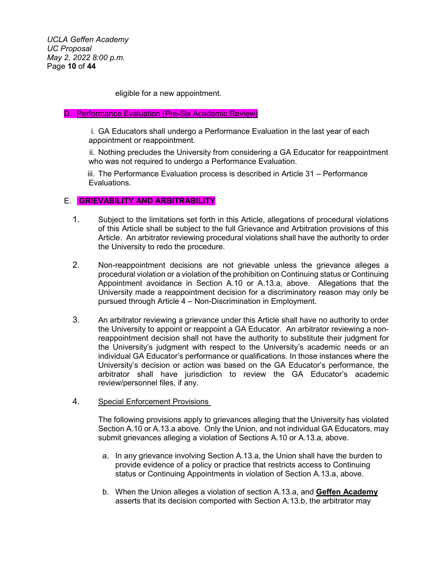*UCLA Geffen Academy UC Proposal May 2, 2022 8:00 p.m.* Page **10** of **44**

eligible for a new appointment.

#### D. Performance Evaluation (Pre-Six Academic Review)

i. GA Educators shall undergo a Performance Evaluation in the last year of each appointment or reappointment.

ii. Nothing precludes the University from considering a GA Educator for reappointment who was not required to undergo a Performance Evaluation.

iii. The Performance Evaluation process is described in Article 31 – Performance Evaluations.

#### E. **GRIEVABILITY AND ARBITRABILITY**

- 1. Subject to the limitations set forth in this Article, allegations of procedural violations of this Article shall be subject to the full Grievance and Arbitration provisions of this Article. An arbitrator reviewing procedural violations shall have the authority to order the University to redo the procedure.
- 2. Non-reappointment decisions are not grievable unless the grievance alleges a procedural violation or a violation of the prohibition on Continuing status or Continuing Appointment avoidance in Section A.10 or A.13.a, above. Allegations that the University made a reappointment decision for a discriminatory reason may only be pursued through Article 4 – Non-Discrimination in Employment.
- 3. An arbitrator reviewing a grievance under this Article shall have no authority to order the University to appoint or reappoint a GA Educator. An arbitrator reviewing a nonreappointment decision shall not have the authority to substitute their judgment for the University's judgment with respect to the University's academic needs or an individual GA Educator's performance or qualifications. In those instances where the University's decision or action was based on the GA Educator's performance, the arbitrator shall have jurisdiction to review the GA Educator's academic review/personnel files, if any.

#### 4. Special Enforcement Provisions

The following provisions apply to grievances alleging that the University has violated Section A.10 or A.13.a above. Only the Union, and not individual GA Educators, may submit grievances alleging a violation of Sections A.10 or A.13.a, above.

- a. In any grievance involving Section A.13.a, the Union shall have the burden to provide evidence of a policy or practice that restricts access to Continuing status or Continuing Appointments in violation of Section A.13.a, above.
- b. When the Union alleges a violation of section A.13.a, and **Geffen Academy** asserts that its decision comported with Section A.13.b, the arbitrator may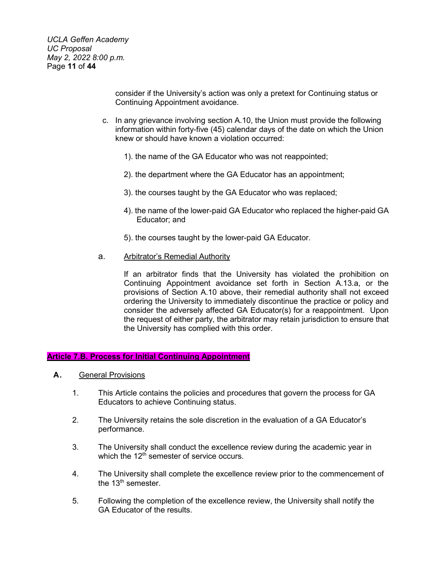*UCLA Geffen Academy UC Proposal May 2, 2022 8:00 p.m.* Page **11** of **44**

> consider if the University's action was only a pretext for Continuing status or Continuing Appointment avoidance.

- c. In any grievance involving section A.10, the Union must provide the following information within forty-five (45) calendar days of the date on which the Union knew or should have known a violation occurred:
	- 1). the name of the GA Educator who was not reappointed;
	- 2). the department where the GA Educator has an appointment;
	- 3). the courses taught by the GA Educator who was replaced;
	- 4). the name of the lower-paid GA Educator who replaced the higher-paid GA Educator; and
	- 5). the courses taught by the lower-paid GA Educator.
- a. Arbitrator's Remedial Authority

If an arbitrator finds that the University has violated the prohibition on Continuing Appointment avoidance set forth in Section A.13.a, or the provisions of Section A.10 above, their remedial authority shall not exceed ordering the University to immediately discontinue the practice or policy and consider the adversely affected GA Educator(s) for a reappointment. Upon the request of either party, the arbitrator may retain jurisdiction to ensure that the University has complied with this order.

#### **Article 7.B. Process for Initial Continuing Appointment**

- **A.** General Provisions
	- 1. This Article contains the policies and procedures that govern the process for GA Educators to achieve Continuing status.
	- 2. The University retains the sole discretion in the evaluation of a GA Educator's performance.
	- 3. The University shall conduct the excellence review during the academic year in which the  $12<sup>th</sup>$  semester of service occurs.
	- 4. The University shall complete the excellence review prior to the commencement of the  $13<sup>th</sup>$  semester.
	- 5. Following the completion of the excellence review, the University shall notify the GA Educator of the results.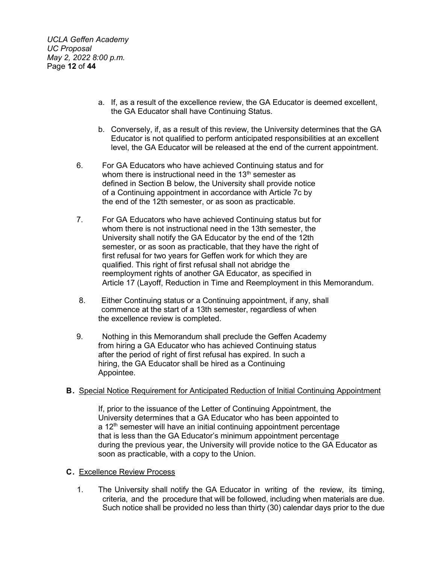*UCLA Geffen Academy UC Proposal May 2, 2022 8:00 p.m.* Page **12** of **44**

- a. If, as a result of the excellence review, the GA Educator is deemed excellent, the GA Educator shall have Continuing Status.
- b. Conversely, if, as a result of this review, the University determines that the GA Educator is not qualified to perform anticipated responsibilities at an excellent level, the GA Educator will be released at the end of the current appointment.
- 6. For GA Educators who have achieved Continuing status and for whom there is instructional need in the  $13<sup>th</sup>$  semester as defined in Section B below, the University shall provide notice of a Continuing appointment in accordance with Article 7c by the end of the 12th semester, or as soon as practicable.
- 7. For GA Educators who have achieved Continuing status but for whom there is not instructional need in the 13th semester, the University shall notify the GA Educator by the end of the 12th semester, or as soon as practicable, that they have the right of first refusal for two years for Geffen work for which they are qualified. This right of first refusal shall not abridge the reemployment rights of another GA Educator, as specified in Article 17 (Layoff, Reduction in Time and Reemployment in this Memorandum.
- 8. Either Continuing status or a Continuing appointment, if any, shall commence at the start of a 13th semester, regardless of when the excellence review is completed.
- 9. Nothing in this Memorandum shall preclude the Geffen Academy from hiring a GA Educator who has achieved Continuing status after the period of right of first refusal has expired. In such a hiring, the GA Educator shall be hired as a Continuing Appointee.

### **B.** Special Notice Requirement for Anticipated Reduction of Initial Continuing Appointment

If, prior to the issuance of the Letter of Continuing Appointment, the University determines that a GA Educator who has been appointed to  $a$  12<sup>th</sup> semester will have an initial continuing appointment percentage that is less than the GA Educator's minimum appointment percentage during the previous year, the University will provide notice to the GA Educator as soon as practicable, with a copy to the Union.

#### **C.** Excellence Review Process

1. The University shall notify the GA Educator in writing of the review, its timing, criteria, and the procedure that will be followed, including when materials are due. Such notice shall be provided no less than thirty (30) calendar days prior to the due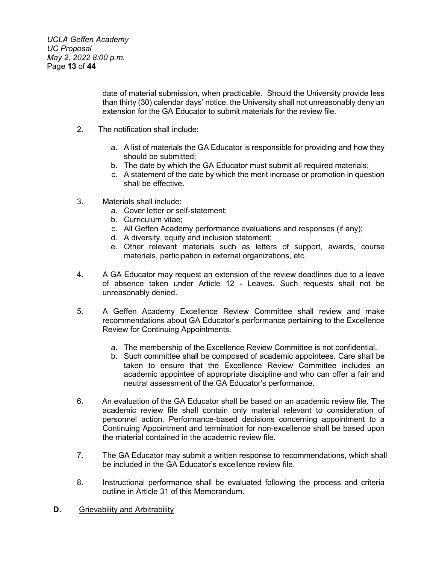date of material submission, when practicable. Should the University provide less than thirty (30) calendar days' notice, the University shall not unreasonably deny an extension for the GA Educator to submit materials for the review file.

- 2. The notification shall include:
	- a. A list of materials the GA Educator is responsible for providing and how they should be submitted;
	- b. The date by which the GA Educator must submit all required materials;
	- c. A statement of the date by which the merit increase or promotion in question shall be effective.
- 3. Materials shall include:
	- a. Cover letter or self-statement;
	- b. Curriculum vitae;
	- c. All Geffen Academy performance evaluations and responses (if any);
	- d. A diversity, equity and inclusion statement;
	- e. Other relevant materials such as letters of support, awards, course materials, participation in external organizations, etc.
- 4. A GA Educator may request an extension of the review deadlines due to a leave of absence taken under Article 12 - Leaves. Such requests shall not be unreasonably denied.
- 5. A Geffen Academy Excellence Review Committee shall review and make recommendations about GA Educator's performance pertaining to the Excellence Review for Continuing Appointments.
	- a. The membership of the Excellence Review Committee is not confidential.
	- b. Such committee shall be composed of academic appointees. Care shall be taken to ensure that the Excellence Review Committee includes an academic appointee of appropriate discipline and who can offer a fair and neutral assessment of the GA Educator's performance.
- 6. An evaluation of the GA Educator shall be based on an academic review file. The academic review file shall contain only material relevant to consideration of personnel action. Performance-based decisions concerning appointment to a Continuing Appointment and termination for non-excellence shall be based upon the material contained in the academic review file.
- 7. The GA Educator may submit a written response to recommendations, which shall be included in the GA Educator's excellence review file.
- 8. Instructional performance shall be evaluated following the process and criteria outline in Article 31 of this Memorandum.
- **D.** Grievability and Arbitrability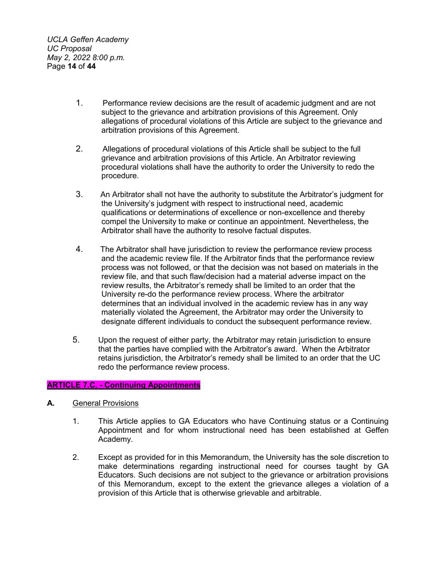*UCLA Geffen Academy UC Proposal May 2, 2022 8:00 p.m.* Page **14** of **44**

- 1. Performance review decisions are the result of academic judgment and are not subject to the grievance and arbitration provisions of this Agreement. Only allegations of procedural violations of this Article are subject to the grievance and arbitration provisions of this Agreement.
- 2. Allegations of procedural violations of this Article shall be subject to the full grievance and arbitration provisions of this Article. An Arbitrator reviewing procedural violations shall have the authority to order the University to redo the procedure.
- 3. An Arbitrator shall not have the authority to substitute the Arbitrator's judgment for the University's judgment with respect to instructional need, academic qualifications or determinations of excellence or non-excellence and thereby compel the University to make or continue an appointment. Nevertheless, the Arbitrator shall have the authority to resolve factual disputes.
- 4. The Arbitrator shall have jurisdiction to review the performance review process and the academic review file. If the Arbitrator finds that the performance review process was not followed, or that the decision was not based on materials in the review file, and that such flaw/decision had a material adverse impact on the review results, the Arbitrator's remedy shall be limited to an order that the University re-do the performance review process. Where the arbitrator determines that an individual involved in the academic review has in any way materially violated the Agreement, the Arbitrator may order the University to designate different individuals to conduct the subsequent performance review.
- 5. Upon the request of either party, the Arbitrator may retain jurisdiction to ensure that the parties have complied with the Arbitrator's award. When the Arbitrator retains jurisdiction, the Arbitrator's remedy shall be limited to an order that the UC redo the performance review process.

### **ARTICLE 7.C. - Continuing Appointments**

- **A.** General Provisions
	- 1. This Article applies to GA Educators who have Continuing status or a Continuing Appointment and for whom instructional need has been established at Geffen Academy.
	- 2. Except as provided for in this Memorandum, the University has the sole discretion to make determinations regarding instructional need for courses taught by GA Educators. Such decisions are not subject to the grievance or arbitration provisions of this Memorandum, except to the extent the grievance alleges a violation of a provision of this Article that is otherwise grievable and arbitrable.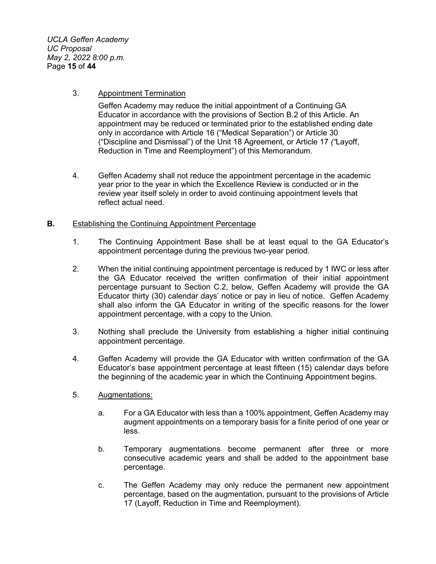*UCLA Geffen Academy UC Proposal May 2, 2022 8:00 p.m.* Page **15** of **44**

#### 3. Appointment Termination

Geffen Academy may reduce the initial appointment of a Continuing GA Educator in accordance with the provisions of Section B.2 of this Article. An appointment may be reduced or terminated prior to the established ending date only in accordance with Article 16 ("Medical Separation") or Article 30 ("Discipline and Dismissal") of the Unit 18 Agreement, or Article 17 *("*Layoff, Reduction in Time and Reemployment") of this Memorandum.

4. Geffen Academy shall not reduce the appointment percentage in the academic year prior to the year in which the Excellence Review is conducted or in the review year itself solely in order to avoid continuing appointment levels that reflect actual need.

#### **B.** Establishing the Continuing Appointment Percentage

- 1. The Continuing Appointment Base shall be at least equal to the GA Educator's appointment percentage during the previous two-year period.
- 2. When the initial continuing appointment percentage is reduced by 1 IWC or less after the GA Educator received the written confirmation of their initial appointment percentage pursuant to Section C.2, below, Geffen Academy will provide the GA Educator thirty (30) calendar days' notice or pay in lieu of notice. Geffen Academy shall also inform the GA Educator in writing of the specific reasons for the lower appointment percentage, with a copy to the Union.
- 3. Nothing shall preclude the University from establishing a higher initial continuing appointment percentage.
- 4. Geffen Academy will provide the GA Educator with written confirmation of the GA Educator's base appointment percentage at least fifteen (15) calendar days before the beginning of the academic year in which the Continuing Appointment begins.
- 5. Augmentations:
	- a. For a GA Educator with less than a 100% appointment, Geffen Academy may augment appointments on a temporary basis for a finite period of one year or less.
	- b. Temporary augmentations become permanent after three or more consecutive academic years and shall be added to the appointment base percentage.
	- c. The Geffen Academy may only reduce the permanent new appointment percentage, based on the augmentation, pursuant to the provisions of Article 17 (Layoff, Reduction in Time and Reemployment).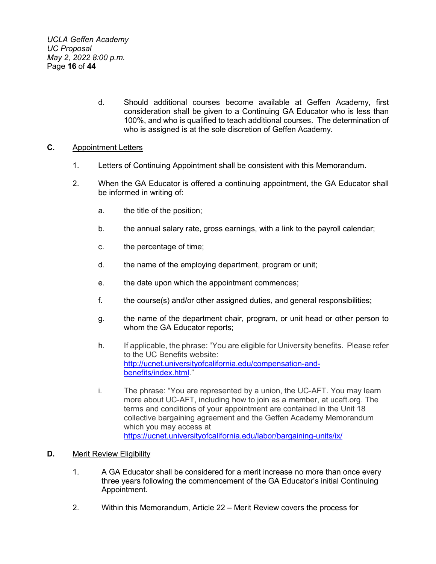d. Should additional courses become available at Geffen Academy, first consideration shall be given to a Continuing GA Educator who is less than 100%, and who is qualified to teach additional courses. The determination of who is assigned is at the sole discretion of Geffen Academy.

### **C.** Appointment Letters

- 1. Letters of Continuing Appointment shall be consistent with this Memorandum.
- 2. When the GA Educator is offered a continuing appointment, the GA Educator shall be informed in writing of:
	- a. the title of the position;
	- b. the annual salary rate, gross earnings, with a link to the payroll calendar;
	- c. the percentage of time;
	- d. the name of the employing department, program or unit;
	- e. the date upon which the appointment commences;
	- f. the course(s) and/or other assigned duties, and general responsibilities;
	- g. the name of the department chair, program, or unit head or other person to whom the GA Educator reports;
	- h. If applicable, the phrase: "You are eligible for University benefits. Please refer to the UC Benefits website: [http://ucnet.universityofcalifornia.edu/compensation-and](http://ucnet.universityofcalifornia.edu/compensation-and-benefits/index.html)[benefits/index.html.](http://ucnet.universityofcalifornia.edu/compensation-and-benefits/index.html)"
	- i. The phrase: "You are represented by a union, the UC-AFT. You may learn more about UC-AFT, including how to join as a member, at ucaft.org. The terms and conditions of your appointment are contained in the Unit 18 collective bargaining agreement and the Geffen Academy Memorandum which you may access at <https://ucnet.universityofcalifornia.edu/labor/bargaining-units/ix/>

### **D.** Merit Review Eligibility

- 1. A GA Educator shall be considered for a merit increase no more than once every three years following the commencement of the GA Educator's initial Continuing Appointment.
- 2. Within this Memorandum, Article 22 Merit Review covers the process for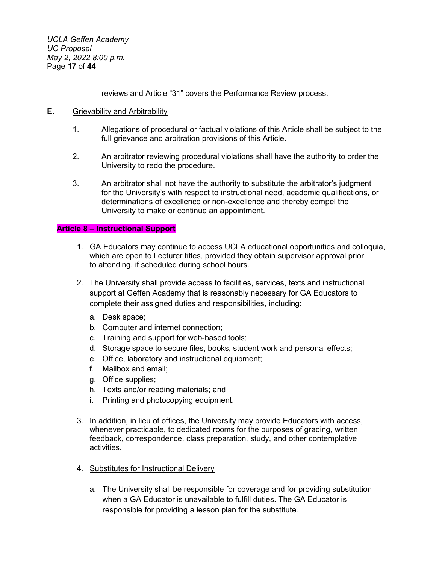*UCLA Geffen Academy UC Proposal May 2, 2022 8:00 p.m.* Page **17** of **44**

reviews and Article "31" covers the Performance Review process.

#### **E.** Grievability and Arbitrability

- 1. Allegations of procedural or factual violations of this Article shall be subject to the full grievance and arbitration provisions of this Article.
- 2. An arbitrator reviewing procedural violations shall have the authority to order the University to redo the procedure.
- 3. An arbitrator shall not have the authority to substitute the arbitrator's judgment for the University's with respect to instructional need, academic qualifications, or determinations of excellence or non-excellence and thereby compel the University to make or continue an appointment.

#### **Article 8 – Instructional Support**

- 1. GA Educators may continue to access UCLA educational opportunities and colloquia, which are open to Lecturer titles, provided they obtain supervisor approval prior to attending, if scheduled during school hours.
- 2. The University shall provide access to facilities, services, texts and instructional support at Geffen Academy that is reasonably necessary for GA Educators to complete their assigned duties and responsibilities, including:
	- a. Desk space;
	- b. Computer and internet connection;
	- c. Training and support for web-based tools;
	- d. Storage space to secure files, books, student work and personal effects;
	- e. Office, laboratory and instructional equipment;
	- f. Mailbox and email;
	- g. Office supplies;
	- h. Texts and/or reading materials; and
	- i. Printing and photocopying equipment.
- 3. In addition, in lieu of offices, the University may provide Educators with access, whenever practicable, to dedicated rooms for the purposes of grading, written feedback, correspondence, class preparation, study, and other contemplative activities.
- 4. Substitutes for Instructional Delivery
	- a. The University shall be responsible for coverage and for providing substitution when a GA Educator is unavailable to fulfill duties. The GA Educator is responsible for providing a lesson plan for the substitute.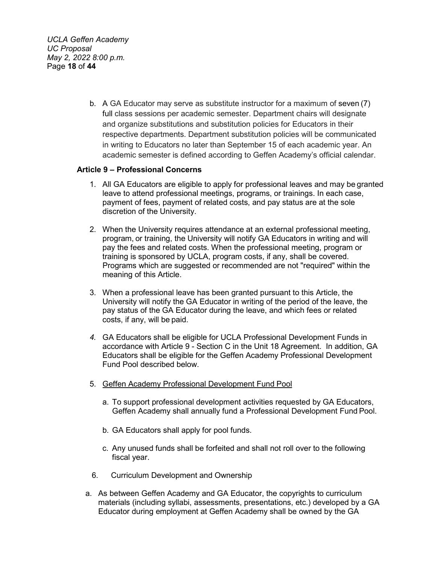*UCLA Geffen Academy UC Proposal May 2, 2022 8:00 p.m.* Page **18** of **44**

> b. A GA Educator may serve as substitute instructor for a maximum of seven (7) full class sessions per academic semester. Department chairs will designate and organize substitutions and substitution policies for Educators in their respective departments. Department substitution policies will be communicated in writing to Educators no later than September 15 of each academic year. An academic semester is defined according to Geffen Academy's official calendar.

### **Article 9 – Professional Concerns**

- 1. All GA Educators are eligible to apply for professional leaves and may be granted leave to attend professional meetings, programs, or trainings. In each case, payment of fees, payment of related costs, and pay status are at the sole discretion of the University.
- 2. When the University requires attendance at an external professional meeting, program, or training, the University will notify GA Educators in writing and will pay the fees and related costs. When the professional meeting, program or training is sponsored by UCLA, program costs, if any, shall be covered. Programs which are suggested or recommended are not "required" within the meaning of this Article.
- 3. When a professional leave has been granted pursuant to this Article, the University will notify the GA Educator in writing of the period of the leave, the pay status of the GA Educator during the leave, and which fees or related costs, if any, will be paid.
- *4.* GA Educators shall be eligible for UCLA Professional Development Funds in accordance with Article 9 - Section C in the Unit 18 Agreement. In addition, GA Educators shall be eligible for the Geffen Academy Professional Development Fund Pool described below.
- 5. Geffen Academy Professional Development Fund Pool
	- a. To support professional development activities requested by GA Educators, Geffen Academy shall annually fund a Professional Development Fund Pool.
	- b. GA Educators shall apply for pool funds.
	- c. Any unused funds shall be forfeited and shall not roll over to the following fiscal year.
- 6. Curriculum Development and Ownership
- a. As between Geffen Academy and GA Educator, the copyrights to curriculum materials (including syllabi, assessments, presentations, etc.) developed by a GA Educator during employment at Geffen Academy shall be owned by the GA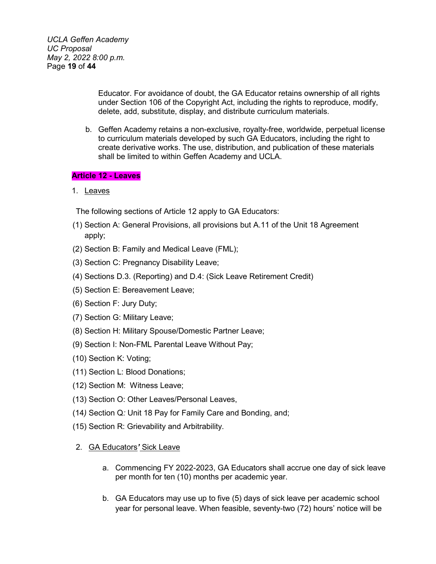*UCLA Geffen Academy UC Proposal May 2, 2022 8:00 p.m.* Page **19** of **44**

> Educator. For avoidance of doubt, the GA Educator retains ownership of all rights under Section 106 of the Copyright Act, including the rights to reproduce, modify, delete, add, substitute, display, and distribute curriculum materials.

b. Geffen Academy retains a non-exclusive, royalty-free, worldwide, perpetual license to curriculum materials developed by such GA Educators, including the right to create derivative works. The use, distribution, and publication of these materials shall be limited to within Geffen Academy and UCLA.

### **Article 12 - Leaves**

1. Leaves

The following sections of Article 12 apply to GA Educators:

- (1) Section A: General Provisions, all provisions but A.11 of the Unit 18 Agreement apply;
- (2) Section B: Family and Medical Leave (FML);
- (3) Section C: Pregnancy Disability Leave;
- (4) Sections D.3. (Reporting) and D.4: (Sick Leave Retirement Credit)
- (5) Section E: Bereavement Leave;
- (6) Section F: Jury Duty;
- (7) Section G: Military Leave;
- (8) Section H: Military Spouse/Domestic Partner Leave;
- (9) Section I: Non-FML Parental Leave Without Pay;
- (10) Section K: Voting;
- (11) Section L: Blood Donations;
- (12) Section M: Witness Leave;
- (13) Section O: Other Leaves/Personal Leaves,
- (14*)* Section Q*:* Unit 18 Pay for Family Care and Bonding, and;
- (15) Section R: Grievability and Arbitrability.

#### 2. GA Educators*'* Sick Leave

- a. Commencing FY 2022-2023, GA Educators shall accrue one day of sick leave per month for ten (10) months per academic year.
- b. GA Educators may use up to five (5) days of sick leave per academic school year for personal leave. When feasible, seventy-two (72) hours' notice will be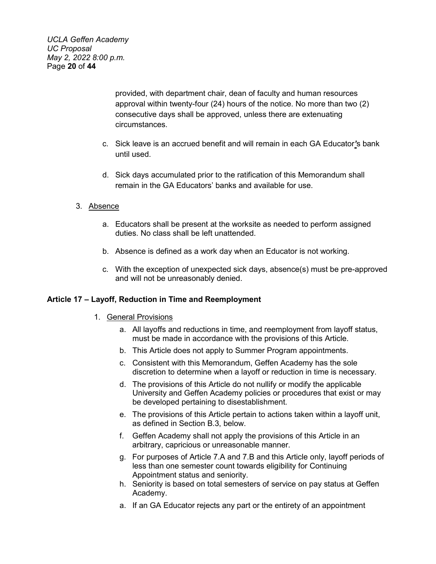*UCLA Geffen Academy UC Proposal May 2, 2022 8:00 p.m.* Page **20** of **44**

> provided, with department chair, dean of faculty and human resources approval within twenty-four (24) hours of the notice. No more than two (2) consecutive days shall be approved, unless there are extenuating circumstances.

- c. Sick leave is an accrued benefit and will remain in each GA Educator*'*s bank until used.
- d. Sick days accumulated prior to the ratification of this Memorandum shall remain in the GA Educators' banks and available for use.

### 3. Absence

- a. Educators shall be present at the worksite as needed to perform assigned duties. No class shall be left unattended.
- b. Absence is defined as a work day when an Educator is not working.
- c. With the exception of unexpected sick days, absence(s) must be pre-approved and will not be unreasonably denied.

### **Article 17 – Layoff, Reduction in Time and Reemployment**

#### 1. General Provisions

- a. All layoffs and reductions in time, and reemployment from layoff status, must be made in accordance with the provisions of this Article.
- b. This Article does not apply to Summer Program appointments.
- c. Consistent with this Memorandum, Geffen Academy has the sole discretion to determine when a layoff or reduction in time is necessary.
- d. The provisions of this Article do not nullify or modify the applicable University and Geffen Academy policies or procedures that exist or may be developed pertaining to disestablishment.
- e. The provisions of this Article pertain to actions taken within a layoff unit, as defined in Section B.3, below.
- f. Geffen Academy shall not apply the provisions of this Article in an arbitrary, capricious or unreasonable manner.
- g. For purposes of Article 7.A and 7.B and this Article only, layoff periods of less than one semester count towards eligibility for Continuing Appointment status and seniority.
- h. Seniority is based on total semesters of service on pay status at Geffen Academy.
- a. If an GA Educator rejects any part or the entirety of an appointment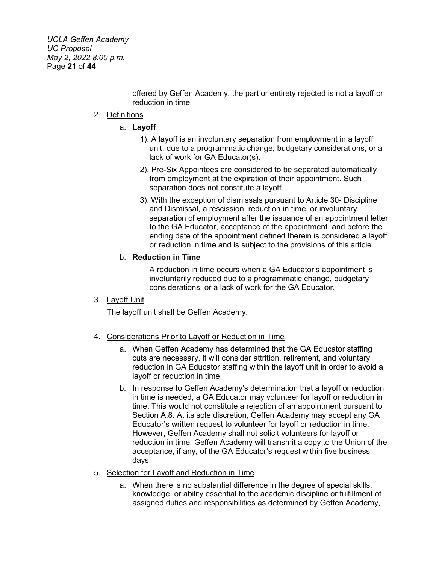*UCLA Geffen Academy UC Proposal May 2, 2022 8:00 p.m.* Page **21** of **44**

> offered by Geffen Academy, the part or entirety rejected is not a layoff or reduction in time.

#### 2. Definitions

### a. **Layoff**

- 1). A layoff is an involuntary separation from employment in a layoff unit, due to a programmatic change, budgetary considerations, or a lack of work for GA Educator(s).
- 2). Pre-Six Appointees are considered to be separated automatically from employment at the expiration of their appointment. Such separation does not constitute a layoff.
- 3). With the exception of dismissals pursuant to Article 30- Discipline and Dismissal, a rescission, reduction in time, or involuntary separation of employment after the issuance of an appointment letter to the GA Educator, acceptance of the appointment, and before the ending date of the appointment defined therein is considered a layoff or reduction in time and is subject to the provisions of this article.

### b. **Reduction in Time**

A reduction in time occurs when a GA Educator's appointment is involuntarily reduced due to a programmatic change, budgetary considerations, or a lack of work for the GA Educator.

### 3. Layoff Unit

The layoff unit shall be Geffen Academy.

### 4. Considerations Prior to Layoff or Reduction in Time

- a. When Geffen Academy has determined that the GA Educator staffing cuts are necessary, it will consider attrition, retirement, and voluntary reduction in GA Educator staffing within the layoff unit in order to avoid a layoff or reduction in time.
- b. In response to Geffen Academy's determination that a layoff or reduction in time is needed, a GA Educator may volunteer for layoff or reduction in time. This would not constitute a rejection of an appointment pursuant to Section A.8. At its sole discretion, Geffen Academy may accept any GA Educator's written request to volunteer for layoff or reduction in time. However, Geffen Academy shall not solicit volunteers for layoff or reduction in time. Geffen Academy will transmit a copy to the Union of the acceptance, if any, of the GA Educator's request within five business days.

### 5. Selection for Layoff and Reduction in Time

a. When there is no substantial difference in the degree of special skills, knowledge, or ability essential to the academic discipline or fulfillment of assigned duties and responsibilities as determined by Geffen Academy,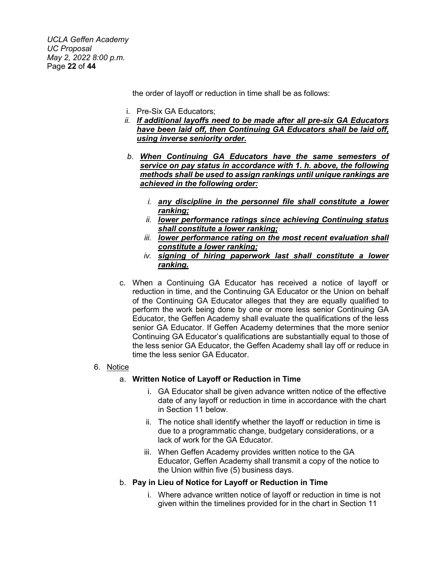*UCLA Geffen Academy UC Proposal May 2, 2022 8:00 p.m.* Page **22** of **44**

the order of layoff or reduction in time shall be as follows:

- i. Pre-Six GA Educators;
- *ii. If additional layoffs need to be made after all pre-six GA Educators have been laid off, then Continuing GA Educators shall be laid off, using inverse seniority order.*
- *b. When Continuing GA Educators have the same semesters of service on pay status in accordance with 1. h. above, the following methods shall be used to assign rankings until unique rankings are achieved in the following order:*
	- *i. any discipline in the personnel file shall constitute a lower ranking;*
	- *ii. lower performance ratings since achieving Continuing status shall constitute a lower ranking;*
	- *iii. lower performance rating on the most recent evaluation shall constitute a lower ranking;*
	- *iv. signing of hiring paperwork last shall constitute a lower ranking.*
- c. When a Continuing GA Educator has received a notice of layoff or reduction in time, and the Continuing GA Educator or the Union on behalf of the Continuing GA Educator alleges that they are equally qualified to perform the work being done by one or more less senior Continuing GA Educator, the Geffen Academy shall evaluate the qualifications of the less senior GA Educator. If Geffen Academy determines that the more senior Continuing GA Educator's qualifications are substantially equal to those of the less senior GA Educator, the Geffen Academy shall lay off or reduce in time the less senior GA Educator.

#### 6. Notice

#### a. **Written Notice of Layoff or Reduction in Time**

- i. GA Educator shall be given advance written notice of the effective date of any layoff or reduction in time in accordance with the chart in Section 11 below.
- ii. The notice shall identify whether the layoff or reduction in time is due to a programmatic change, budgetary considerations, or a lack of work for the GA Educator.
- iii. When Geffen Academy provides written notice to the GA Educator, Geffen Academy shall transmit a copy of the notice to the Union within five (5) business days.
- b. **Pay in Lieu of Notice for Layoff or Reduction in Time**
	- i. Where advance written notice of layoff or reduction in time is not given within the timelines provided for in the chart in Section 11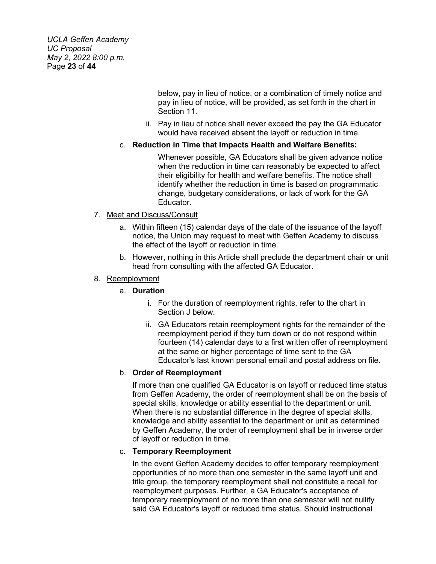*UCLA Geffen Academy UC Proposal May 2, 2022 8:00 p.m.* Page **23** of **44**

> below, pay in lieu of notice, or a combination of timely notice and pay in lieu of notice, will be provided, as set forth in the chart in Section 11.

ii. Pay in lieu of notice shall never exceed the pay the GA Educator would have received absent the layoff or reduction in time.

### c. **Reduction in Time that Impacts Health and Welfare Benefits:**

Whenever possible, GA Educators shall be given advance notice when the reduction in time can reasonably be expected to affect their eligibility for health and welfare benefits. The notice shall identify whether the reduction in time is based on programmatic change, budgetary considerations, or lack of work for the GA Educator.

### 7. Meet and Discuss/Consult

- a. Within fifteen (15) calendar days of the date of the issuance of the layoff notice, the Union may request to meet with Geffen Academy to discuss the effect of the layoff or reduction in time.
- b. However, nothing in this Article shall preclude the department chair or unit head from consulting with the affected GA Educator.

### 8. Reemployment

### a. **Duration**

- i. For the duration of reemployment rights, refer to the chart in Section J below.
- ii. GA Educators retain reemployment rights for the remainder of the reemployment period if they turn down or do not respond within fourteen (14) calendar days to a first written offer of reemployment at the same or higher percentage of time sent to the GA Educator's last known personal email and postal address on file.

# b. **Order of Reemployment**

If more than one qualified GA Educator is on layoff or reduced time status from Geffen Academy, the order of reemployment shall be on the basis of special skills, knowledge or ability essential to the department or unit. When there is no substantial difference in the degree of special skills, knowledge and ability essential to the department or unit as determined by Geffen Academy, the order of reemployment shall be in inverse order of layoff or reduction in time.

### c. **Temporary Reemployment**

In the event Geffen Academy decides to offer temporary reemployment opportunities of no more than one semester in the same layoff unit and title group, the temporary reemployment shall not constitute a recall for reemployment purposes. Further, a GA Educator's acceptance of temporary reemployment of no more than one semester will not nullify said GA Educator's layoff or reduced time status. Should instructional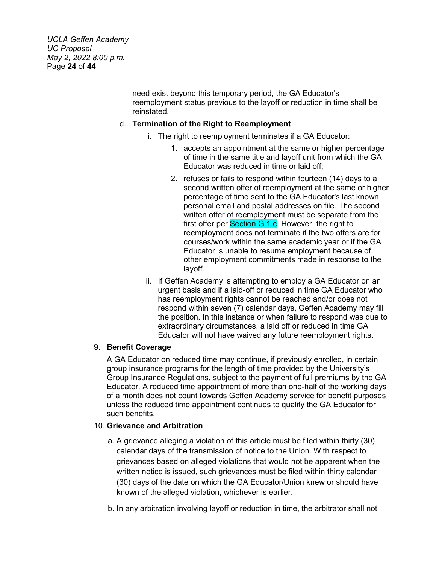*UCLA Geffen Academy UC Proposal May 2, 2022 8:00 p.m.* Page **24** of **44**

> need exist beyond this temporary period, the GA Educator's reemployment status previous to the layoff or reduction in time shall be reinstated.

### d. **Termination of the Right to Reemployment**

- i. The right to reemployment terminates if a GA Educator:
	- 1. accepts an appointment at the same or higher percentage of time in the same title and layoff unit from which the GA Educator was reduced in time or laid off;
	- 2. refuses or fails to respond within fourteen (14) days to a second written offer of reemployment at the same or higher percentage of time sent to the GA Educator's last known personal email and postal addresses on file. The second written offer of reemployment must be separate from the first offer per Section G.1.c. However, the right to reemployment does not terminate if the two offers are for courses/work within the same academic year or if the GA Educator is unable to resume employment because of other employment commitments made in response to the layoff.
- ii. If Geffen Academy is attempting to employ a GA Educator on an urgent basis and if a laid-off or reduced in time GA Educator who has reemployment rights cannot be reached and/or does not respond within seven (7) calendar days, Geffen Academy may fill the position. In this instance or when failure to respond was due to extraordinary circumstances, a laid off or reduced in time GA Educator will not have waived any future reemployment rights.

### 9. **Benefit Coverage**

A GA Educator on reduced time may continue, if previously enrolled, in certain group insurance programs for the length of time provided by the University's Group Insurance Regulations, subject to the payment of full premiums by the GA Educator. A reduced time appointment of more than one-half of the working days of a month does not count towards Geffen Academy service for benefit purposes unless the reduced time appointment continues to qualify the GA Educator for such benefits.

#### 10. **Grievance and Arbitration**

- a. A grievance alleging a violation of this article must be filed within thirty (30) calendar days of the transmission of notice to the Union. With respect to grievances based on alleged violations that would not be apparent when the written notice is issued, such grievances must be filed within thirty calendar (30) days of the date on which the GA Educator/Union knew or should have known of the alleged violation, whichever is earlier.
- b. In any arbitration involving layoff or reduction in time, the arbitrator shall not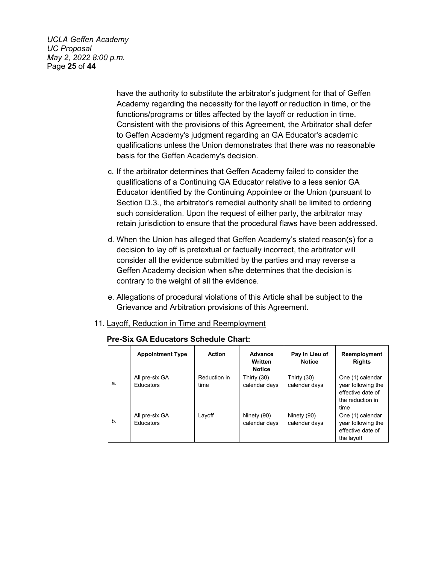*UCLA Geffen Academy UC Proposal May 2, 2022 8:00 p.m.* Page **25** of **44**

> have the authority to substitute the arbitrator's judgment for that of Geffen Academy regarding the necessity for the layoff or reduction in time, or the functions/programs or titles affected by the layoff or reduction in time. Consistent with the provisions of this Agreement, the Arbitrator shall defer to Geffen Academy's judgment regarding an GA Educator's academic qualifications unless the Union demonstrates that there was no reasonable basis for the Geffen Academy's decision.

- c. If the arbitrator determines that Geffen Academy failed to consider the qualifications of a Continuing GA Educator relative to a less senior GA Educator identified by the Continuing Appointee or the Union (pursuant to Section D.3., the arbitrator's remedial authority shall be limited to ordering such consideration. Upon the request of either party, the arbitrator may retain jurisdiction to ensure that the procedural flaws have been addressed.
- d. When the Union has alleged that Geffen Academy's stated reason(s) for a decision to lay off is pretextual or factually incorrect, the arbitrator will consider all the evidence submitted by the parties and may reverse a Geffen Academy decision when s/he determines that the decision is contrary to the weight of all the evidence.
- e. Allegations of procedural violations of this Article shall be subject to the Grievance and Arbitration provisions of this Agreement.
- 11. Layoff, Reduction in Time and Reemployment

|       | <b>Appointment Type</b>            | <b>Action</b>        | <b>Advance</b><br>Written<br><b>Notice</b> | Pay in Lieu of<br><b>Notice</b> | Reemployment<br><b>Rights</b>                                                           |
|-------|------------------------------------|----------------------|--------------------------------------------|---------------------------------|-----------------------------------------------------------------------------------------|
| a.    | All pre-six GA<br><b>Educators</b> | Reduction in<br>time | Thirty (30)<br>calendar days               | Thirty (30)<br>calendar days    | One (1) calendar<br>year following the<br>effective date of<br>the reduction in<br>time |
| $b$ . | All pre-six GA<br><b>Educators</b> | Layoff               | Ninety (90)<br>calendar days               | Ninety (90)<br>calendar days    | One (1) calendar<br>year following the<br>effective date of<br>the layoff               |

### **Pre-Six GA Educators Schedule Chart:**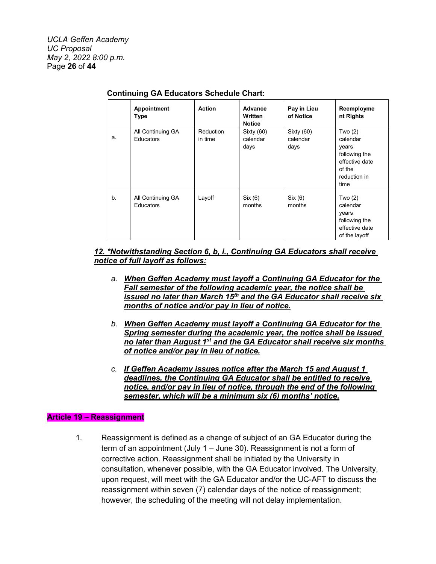|    | Appointment<br><b>Type</b>            | <b>Action</b>               | Advance<br>Written<br><b>Notice</b> | Pay in Lieu<br>of Notice       | Reemployme<br>nt Rights                                                                             |
|----|---------------------------------------|-----------------------------|-------------------------------------|--------------------------------|-----------------------------------------------------------------------------------------------------|
| a. | All Continuing GA<br><b>Educators</b> | <b>Reduction</b><br>in time | Sixty (60)<br>calendar<br>days      | Sixty (60)<br>calendar<br>days | Two $(2)$<br>calendar<br>years<br>following the<br>effective date<br>of the<br>reduction in<br>time |
| b. | All Continuing GA<br><b>Educators</b> | Layoff                      | Six (6)<br>months                   | Six (6)<br>months              | Two $(2)$<br>calendar<br>years<br>following the<br>effective date<br>of the layoff                  |

# **Continuing GA Educators Schedule Chart:**

### *12. \*Notwithstanding Section 6, b, i., Continuing GA Educators shall receive notice of full layoff as follows:*

- *a. When Geffen Academy must layoff a Continuing GA Educator for the Fall semester of the following academic year, the notice shall be issued no later than March 15th and the GA Educator shall receive six months of notice and/or pay in lieu of notice.*
- *b. When Geffen Academy must layoff a Continuing GA Educator for the Spring semester during the academic year, the notice shall be issued no later than August 1st and the GA Educator shall receive six months of notice and/or pay in lieu of notice.*
- *c. If Geffen Academy issues notice after the March 15 and August 1 deadlines, the Continuing GA Educator shall be entitled to receive notice, and/or pay in lieu of notice, through the end of the following semester, which will be a minimum six (6) months' notice.*

### **Article 19 – Reassignment**

1. Reassignment is defined as a change of subject of an GA Educator during the term of an appointment (July 1 – June 30). Reassignment is not a form of corrective action. Reassignment shall be initiated by the University in consultation, whenever possible, with the GA Educator involved. The University, upon request, will meet with the GA Educator and/or the UC-AFT to discuss the reassignment within seven (7) calendar days of the notice of reassignment; however, the scheduling of the meeting will not delay implementation.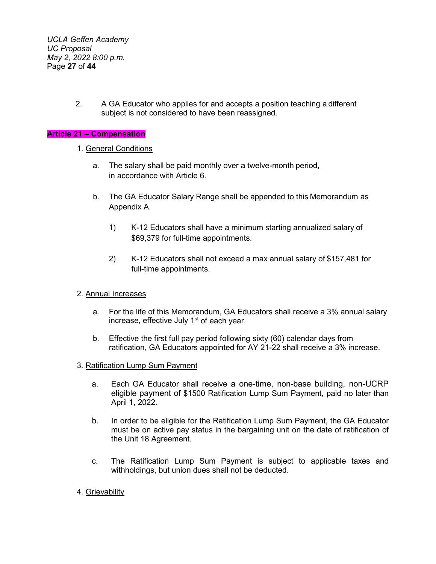*UCLA Geffen Academy UC Proposal May 2, 2022 8:00 p.m.* Page **27** of **44**

> 2. A GA Educator who applies for and accepts a position teaching a different subject is not considered to have been reassigned.

### **Article 21 – Compensation**

#### 1. General Conditions

- a. The salary shall be paid monthly over a twelve-month period, in accordance with Article 6.
- b. The GA Educator Salary Range shall be appended to this Memorandum as Appendix A.
	- 1) K-12 Educators shall have a minimum starting annualized salary of \$69,379 for full-time appointments.
	- 2) K-12 Educators shall not exceed a max annual salary of \$157,481 for full-time appointments.

#### 2. Annual Increases

- a. For the life of this Memorandum, GA Educators shall receive a 3% annual salary increase, effective July  $1<sup>st</sup>$  of each year.
- b. Effective the first full pay period following sixty (60) calendar days from ratification, GA Educators appointed for AY 21-22 shall receive a 3% increase.
- 3. Ratification Lump Sum Payment
	- a. Each GA Educator shall receive a one-time, non-base building, non-UCRP eligible payment of \$1500 Ratification Lump Sum Payment, paid no later than April 1, 2022.
	- b. In order to be eligible for the Ratification Lump Sum Payment, the GA Educator must be on active pay status in the bargaining unit on the date of ratification of the Unit 18 Agreement.
	- c. The Ratification Lump Sum Payment is subject to applicable taxes and withholdings, but union dues shall not be deducted.
- 4. Grievability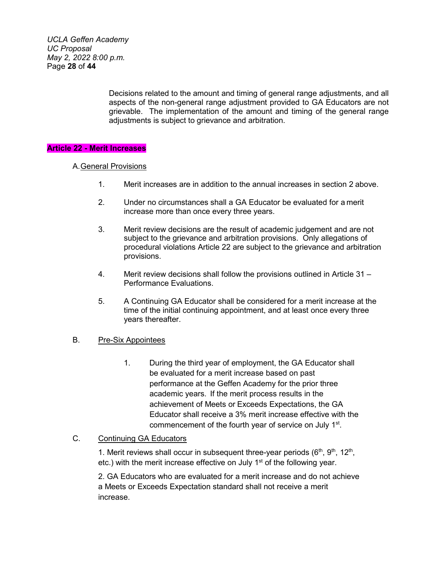*UCLA Geffen Academy UC Proposal May 2, 2022 8:00 p.m.* Page **28** of **44**

> Decisions related to the amount and timing of general range adjustments, and all aspects of the non-general range adjustment provided to GA Educators are not grievable. The implementation of the amount and timing of the general range adjustments is subject to grievance and arbitration.

#### **Article 22 - Merit Increases**

#### A.General Provisions

- 1. Merit increases are in addition to the annual increases in section 2 above.
- 2. Under no circumstances shall a GA Educator be evaluated for a merit increase more than once every three years.
- 3. Merit review decisions are the result of academic judgement and are not subject to the grievance and arbitration provisions. Only allegations of procedural violations Article 22 are subject to the grievance and arbitration provisions.
- 4. Merit review decisions shall follow the provisions outlined in Article 31 Performance Evaluations.
- 5. A Continuing GA Educator shall be considered for a merit increase at the time of the initial continuing appointment, and at least once every three years thereafter.

### B. Pre-Six Appointees

1. During the third year of employment, the GA Educator shall be evaluated for a merit increase based on past performance at the Geffen Academy for the prior three academic years. If the merit process results in the achievement of Meets or Exceeds Expectations, the GA Educator shall receive a 3% merit increase effective with the commencement of the fourth year of service on July 1st.

### C. Continuing GA Educators

1. Merit reviews shall occur in subsequent three-year periods  $(6<sup>th</sup>, 9<sup>th</sup>, 12<sup>th</sup>)$ , etc.) with the merit increase effective on July  $1<sup>st</sup>$  of the following year.

2. GA Educators who are evaluated for a merit increase and do not achieve a Meets or Exceeds Expectation standard shall not receive a merit increase.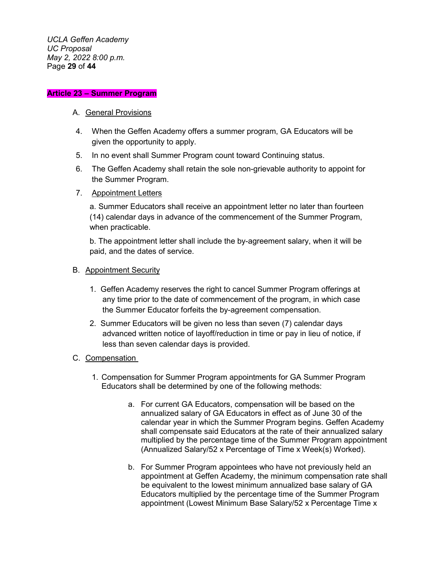*UCLA Geffen Academy UC Proposal May 2, 2022 8:00 p.m.* Page **29** of **44**

#### **Article 23 – Summer Program**

#### A. General Provisions

- 4. When the Geffen Academy offers a summer program, GA Educators will be given the opportunity to apply.
- 5. In no event shall Summer Program count toward Continuing status.
- 6. The Geffen Academy shall retain the sole non-grievable authority to appoint for the Summer Program.
- 7. Appointment Letters

a. Summer Educators shall receive an appointment letter no later than fourteen (14) calendar days in advance of the commencement of the Summer Program, when practicable.

b. The appointment letter shall include the by-agreement salary, when it will be paid, and the dates of service.

#### B. Appointment Security

- 1. Geffen Academy reserves the right to cancel Summer Program offerings at any time prior to the date of commencement of the program, in which case the Summer Educator forfeits the by-agreement compensation.
- 2. Summer Educators will be given no less than seven (7) calendar days advanced written notice of layoff/reduction in time or pay in lieu of notice, if less than seven calendar days is provided.

### C. Compensation

- 1. Compensation for Summer Program appointments for GA Summer Program Educators shall be determined by one of the following methods:
	- a. For current GA Educators, compensation will be based on the annualized salary of GA Educators in effect as of June 30 of the calendar year in which the Summer Program begins. Geffen Academy shall compensate said Educators at the rate of their annualized salary multiplied by the percentage time of the Summer Program appointment (Annualized Salary/52 x Percentage of Time x Week(s) Worked).
	- b. For Summer Program appointees who have not previously held an appointment at Geffen Academy, the minimum compensation rate shall be equivalent to the lowest minimum annualized base salary of GA Educators multiplied by the percentage time of the Summer Program appointment (Lowest Minimum Base Salary/52 x Percentage Time x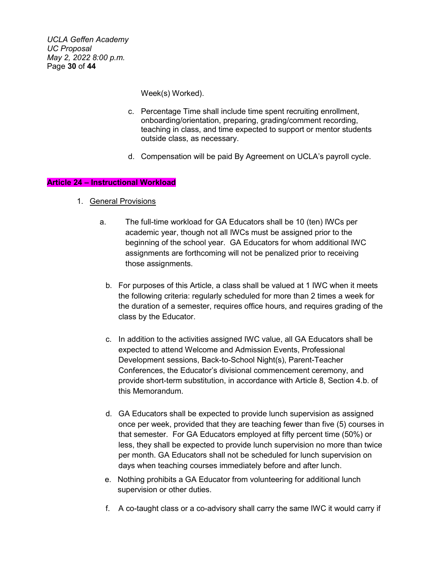*UCLA Geffen Academy UC Proposal May 2, 2022 8:00 p.m.* Page **30** of **44**

Week(s) Worked).

- c. Percentage Time shall include time spent recruiting enrollment, onboarding/orientation, preparing, grading/comment recording, teaching in class, and time expected to support or mentor students outside class, as necessary.
- d. Compensation will be paid By Agreement on UCLA's payroll cycle.

# **Article 24 – Instructional Workload**

- 1. General Provisions
	- a. The full-time workload for GA Educators shall be 10 (ten) IWCs per academic year, though not all IWCs must be assigned prior to the beginning of the school year. GA Educators for whom additional IWC assignments are forthcoming will not be penalized prior to receiving those assignments.
		- b. For purposes of this Article, a class shall be valued at 1 IWC when it meets the following criteria: regularly scheduled for more than 2 times a week for the duration of a semester, requires office hours, and requires grading of the class by the Educator.
		- c. In addition to the activities assigned IWC value, all GA Educators shall be expected to attend Welcome and Admission Events, Professional Development sessions, Back-to-School Night(s), Parent-Teacher Conferences, the Educator's divisional commencement ceremony, and provide short-term substitution, in accordance with Article 8, Section 4.b. of this Memorandum.
		- d. GA Educators shall be expected to provide lunch supervision as assigned once per week, provided that they are teaching fewer than five (5) courses in that semester. For GA Educators employed at fifty percent time (50%) or less, they shall be expected to provide lunch supervision no more than twice per month. GA Educators shall not be scheduled for lunch supervision on days when teaching courses immediately before and after lunch.
		- e. Nothing prohibits a GA Educator from volunteering for additional lunch supervision or other duties.
		- f. A co-taught class or a co-advisory shall carry the same IWC it would carry if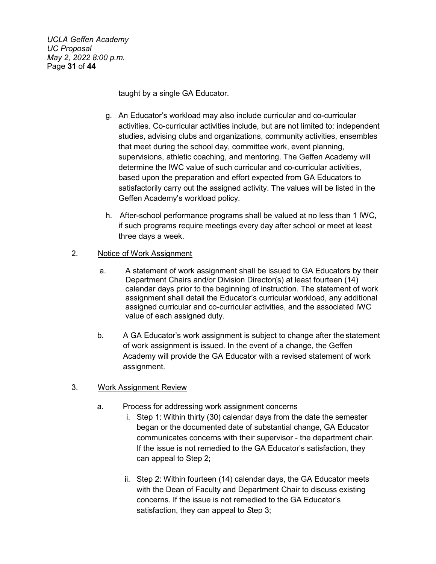*UCLA Geffen Academy UC Proposal May 2, 2022 8:00 p.m.* Page **31** of **44**

taught by a single GA Educator.

- g. An Educator's workload may also include curricular and co-curricular activities. Co-curricular activities include, but are not limited to: independent studies, advising clubs and organizations, community activities, ensembles that meet during the school day, committee work, event planning, supervisions, athletic coaching, and mentoring. The Geffen Academy will determine the IWC value of such curricular and co-curricular activities, based upon the preparation and effort expected from GA Educators to satisfactorily carry out the assigned activity. The values will be listed in the Geffen Academy's workload policy.
- h. After-school performance programs shall be valued at no less than 1 IWC, if such programs require meetings every day after school or meet at least three days a week.

### 2. Notice of Work Assignment

- a. A statement of work assignment shall be issued to GA Educators by their Department Chairs and/or Division Director(s) at least fourteen (14) calendar days prior to the beginning of instruction. The statement of work assignment shall detail the Educator's curricular workload, any additional assigned curricular and co-curricular activities, and the associated IWC value of each assigned duty.
- b. A GA Educator's work assignment is subject to change after the statement of work assignment is issued. In the event of a change, the Geffen Academy will provide the GA Educator with a revised statement of work assignment.

### 3. Work Assignment Review

- a. Process for addressing work assignment concerns
	- i. Step 1: Within thirty (30) calendar days from the date the semester began or the documented date of substantial change, GA Educator communicates concerns with their supervisor - the department chair. If the issue is not remedied to the GA Educator's satisfaction, they can appeal to Step 2;
	- ii. Step 2: Within fourteen (14) calendar days, the GA Educator meets with the Dean of Faculty and Department Chair to discuss existing concerns. If the issue is not remedied to the GA Educator's satisfaction, they can appeal to *S*tep 3;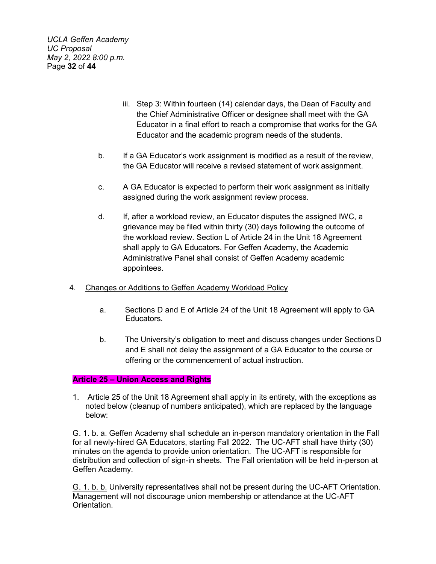*UCLA Geffen Academy UC Proposal May 2, 2022 8:00 p.m.* Page **32** of **44**

- iii. Step 3: Within fourteen (14) calendar days, the Dean of Faculty and the Chief Administrative Officer or designee shall meet with the GA Educator in a final effort to reach a compromise that works for the GA Educator and the academic program needs of the students.
- b. If a GA Educator's work assignment is modified as a result of the review, the GA Educator will receive a revised statement of work assignment.
- c. A GA Educator is expected to perform their work assignment as initially assigned during the work assignment review process.
- d. If, after a workload review, an Educator disputes the assigned IWC, a grievance may be filed within thirty (30) days following the outcome of the workload review. Section L of Article 24 in the Unit 18 Agreement shall apply to GA Educators. For Geffen Academy, the Academic Administrative Panel shall consist of Geffen Academy academic appointees.
- 4. Changes or Additions to Geffen Academy Workload Policy
	- a. Sections D and E of Article 24 of the Unit 18 Agreement will apply to GA Educators.
	- b. The University's obligation to meet and discuss changes under Sections D and E shall not delay the assignment of a GA Educator to the course or offering or the commencement of actual instruction.

### **Article 25 – Union Access and Rights**

1. Article 25 of the Unit 18 Agreement shall apply in its entirety, with the exceptions as noted below (cleanup of numbers anticipated), which are replaced by the language below:

G. 1. b. a. Geffen Academy shall schedule an in-person mandatory orientation in the Fall for all newly-hired GA Educators, starting Fall 2022. The UC-AFT shall have thirty (30) minutes on the agenda to provide union orientation. The UC-AFT is responsible for distribution and collection of sign-in sheets. The Fall orientation will be held in-person at Geffen Academy.

G. 1. b. b. University representatives shall not be present during the UC-AFT Orientation. Management will not discourage union membership or attendance at the UC-AFT Orientation.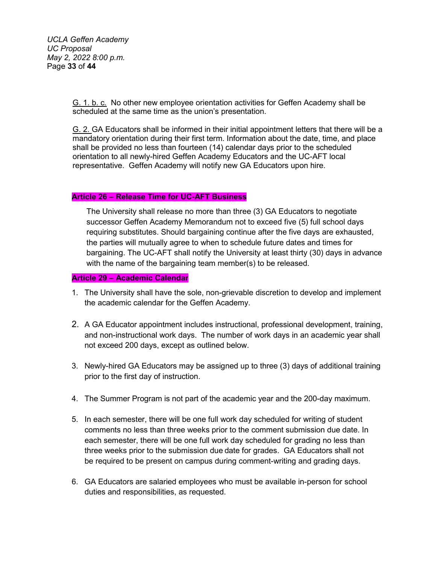*UCLA Geffen Academy UC Proposal May 2, 2022 8:00 p.m.* Page **33** of **44**

> G. 1. b. c. No other new employee orientation activities for Geffen Academy shall be scheduled at the same time as the union's presentation.

G. 2. GA Educators shall be informed in their initial appointment letters that there will be a mandatory orientation during their first term. Information about the date, time, and place shall be provided no less than fourteen (14) calendar days prior to the scheduled orientation to all newly-hired Geffen Academy Educators and the UC-AFT local representative. Geffen Academy will notify new GA Educators upon hire.

### **Article 26 – Release Time for UC-AFT Business**

The University shall release no more than three (3) GA Educators to negotiate successor Geffen Academy Memorandum not to exceed five (5) full school days requiring substitutes. Should bargaining continue after the five days are exhausted, the parties will mutually agree to when to schedule future dates and times for bargaining. The UC-AFT shall notify the University at least thirty (30) days in advance with the name of the bargaining team member(s) to be released.

#### **Article 29 – Academic Calendar**

- 1. The University shall have the sole, non-grievable discretion to develop and implement the academic calendar for the Geffen Academy.
- 2. A GA Educator appointment includes instructional, professional development, training, and non-instructional work days. The number of work days in an academic year shall not exceed 200 days, except as outlined below.
- 3. Newly-hired GA Educators may be assigned up to three (3) days of additional training prior to the first day of instruction.
- 4. The Summer Program is not part of the academic year and the 200-day maximum.
- 5. In each semester, there will be one full work day scheduled for writing of student comments no less than three weeks prior to the comment submission due date. In each semester, there will be one full work day scheduled for grading no less than three weeks prior to the submission due date for grades. GA Educators shall not be required to be present on campus during comment-writing and grading days.
- 6. GA Educators are salaried employees who must be available in-person for school duties and responsibilities, as requested.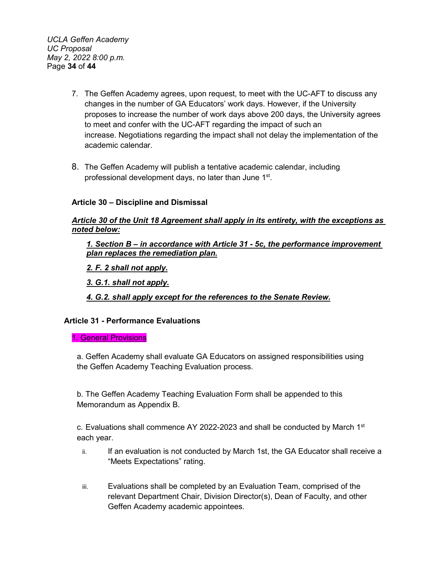*UCLA Geffen Academy UC Proposal May 2, 2022 8:00 p.m.* Page **34** of **44**

- 7. The Geffen Academy agrees, upon request, to meet with the UC-AFT to discuss any changes in the number of GA Educators' work days. However, if the University proposes to increase the number of work days above 200 days, the University agrees to meet and confer with the UC-AFT regarding the impact of such an increase. Negotiations regarding the impact shall not delay the implementation of the academic calendar.
- 8. The Geffen Academy will publish a tentative academic calendar, including professional development days, no later than June 1<sup>st</sup>.

# **Article 30 – Discipline and Dismissal**

### *Article 30 of the Unit 18 Agreement shall apply in its entirety, with the exceptions as noted below:*

*1. Section B – in accordance with Article 31 - 5c, the performance improvement plan replaces the remediation plan.*

*2. F. 2 shall not apply.*

*3. G.1. shall not apply.* 

*4. G.2. shall apply except for the references to the Senate Review.*

### **Article 31 - Performance Evaluations**

#### 1. General Provisions

a. Geffen Academy shall evaluate GA Educators on assigned responsibilities using the Geffen Academy Teaching Evaluation process.

b. The Geffen Academy Teaching Evaluation Form shall be appended to this Memorandum as Appendix B.

c. Evaluations shall commence AY 2022-2023 and shall be conducted by March  $1<sup>st</sup>$ each year.

- ii. If an evaluation is not conducted by March 1st, the GA Educator shall receive a "Meets Expectations" rating.
- iii. Evaluations shall be completed by an Evaluation Team, comprised of the relevant Department Chair, Division Director(s), Dean of Faculty, and other Geffen Academy academic appointees.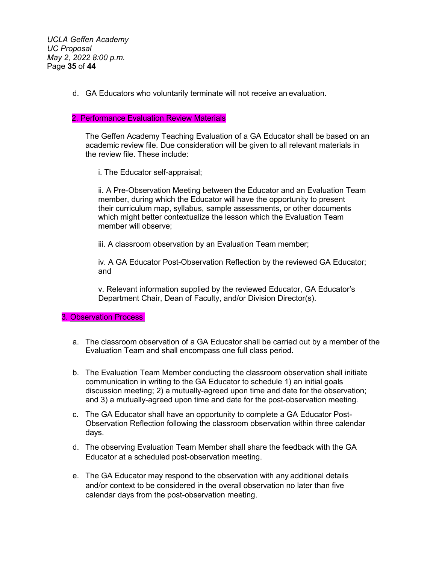*UCLA Geffen Academy UC Proposal May 2, 2022 8:00 p.m.* Page **35** of **44**

d. GA Educators who voluntarily terminate will not receive an evaluation.

#### 2. Performance Evaluation Review Materials

The Geffen Academy Teaching Evaluation of a GA Educator shall be based on an academic review file. Due consideration will be given to all relevant materials in the review file. These include:

i. The Educator self-appraisal;

ii. A Pre-Observation Meeting between the Educator and an Evaluation Team member, during which the Educator will have the opportunity to present their curriculum map, syllabus, sample assessments, or other documents which might better contextualize the lesson which the Evaluation Team member will observe;

iii. A classroom observation by an Evaluation Team member;

iv. A GA Educator Post-Observation Reflection by the reviewed GA Educator; and

v. Relevant information supplied by the reviewed Educator, GA Educator's Department Chair, Dean of Faculty, and/or Division Director(s).

#### 3. Observation Process

- a. The classroom observation of a GA Educator shall be carried out by a member of the Evaluation Team and shall encompass one full class period.
- b. The Evaluation Team Member conducting the classroom observation shall initiate communication in writing to the GA Educator to schedule 1) an initial goals discussion meeting; 2) a mutually-agreed upon time and date for the observation; and 3) a mutually-agreed upon time and date for the post-observation meeting.
- c. The GA Educator shall have an opportunity to complete a GA Educator Post-Observation Reflection following the classroom observation within three calendar days.
- d. The observing Evaluation Team Member shall share the feedback with the GA Educator at a scheduled post-observation meeting.
- e. The GA Educator may respond to the observation with any additional details and/or context to be considered in the overall observation no later than five calendar days from the post-observation meeting.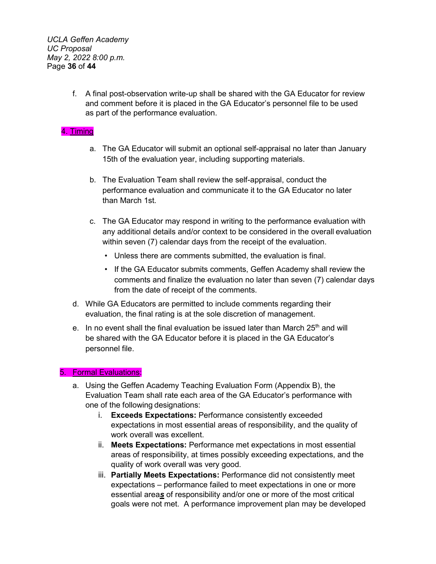*UCLA Geffen Academy UC Proposal May 2, 2022 8:00 p.m.* Page **36** of **44**

> f. A final post-observation write-up shall be shared with the GA Educator for review and comment before it is placed in the GA Educator's personnel file to be used as part of the performance evaluation.

### 4. Timing

- a. The GA Educator will submit an optional self-appraisal no later than January 15th of the evaluation year, including supporting materials.
- b. The Evaluation Team shall review the self-appraisal, conduct the performance evaluation and communicate it to the GA Educator no later than March 1st.
- c. The GA Educator may respond in writing to the performance evaluation with any additional details and/or context to be considered in the overall evaluation within seven (7) calendar days from the receipt of the evaluation.
	- Unless there are comments submitted, the evaluation is final.
	- If the GA Educator submits comments, Geffen Academy shall review the comments and finalize the evaluation no later than seven (7) calendar days from the date of receipt of the comments.
- d. While GA Educators are permitted to include comments regarding their evaluation, the final rating is at the sole discretion of management.
- e. In no event shall the final evaluation be issued later than March  $25<sup>th</sup>$  and will be shared with the GA Educator before it is placed in the GA Educator's personnel file.

### 5. Formal Evaluations:

- a. Using the Geffen Academy Teaching Evaluation Form (Appendix B), the Evaluation Team shall rate each area of the GA Educator's performance with one of the following designations:
	- i. **Exceeds Expectations:** Performance consistently exceeded expectations in most essential areas of responsibility, and the quality of work overall was excellent.
	- ii. **Meets Expectations:** Performance met expectations in most essential areas of responsibility, at times possibly exceeding expectations, and the quality of work overall was very good.
	- iii. **Partially Meets Expectations:** Performance did not consistently meet expectations – performance failed to meet expectations in one or more essential area*s* of responsibility and/or one or more of the most critical goals were not met. A performance improvement plan may be developed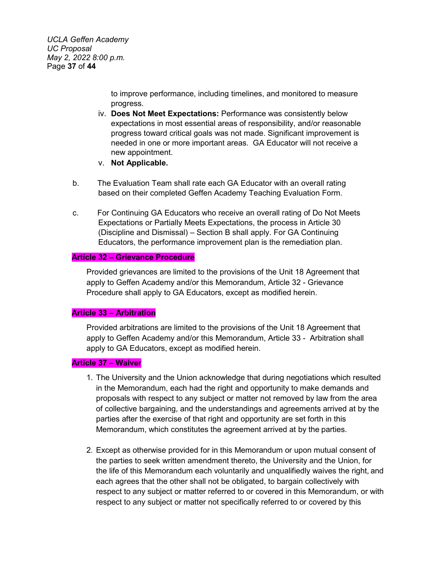*UCLA Geffen Academy UC Proposal May 2, 2022 8:00 p.m.* Page **37** of **44**

> to improve performance, including timelines, and monitored to measure progress.

- iv. **Does Not Meet Expectations:** Performance was consistently below expectations in most essential areas of responsibility, and/or reasonable progress toward critical goals was not made. Significant improvement is needed in one or more important areas. GA Educator will not receive a new appointment.
- v. **Not Applicable.**
- b. The Evaluation Team shall rate each GA Educator with an overall rating based on their completed Geffen Academy Teaching Evaluation Form.
- c. For Continuing GA Educators who receive an overall rating of Do Not Meets Expectations or Partially Meets Expectations, the process in Article 30 (Discipline and Dismissal) – Section B shall apply. For GA Continuing Educators, the performance improvement plan is the remediation plan.

#### **Article 32 – Grievance Procedure**

Provided grievances are limited to the provisions of the Unit 18 Agreement that apply to Geffen Academy and/or this Memorandum, Article 32 - Grievance Procedure shall apply to GA Educators, except as modified herein.

#### **Article 33 – Arbitration**

Provided arbitrations are limited to the provisions of the Unit 18 Agreement that apply to Geffen Academy and/or this Memorandum, Article 33 - Arbitration shall apply to GA Educators, except as modified herein.

#### **Article 37 – Waiver**

- 1. The University and the Union acknowledge that during negotiations which resulted in the Memorandum, each had the right and opportunity to make demands and proposals with respect to any subject or matter not removed by law from the area of collective bargaining, and the understandings and agreements arrived at by the parties after the exercise of that right and opportunity are set forth in this Memorandum, which constitutes the agreement arrived at by the parties.
- 2. Except as otherwise provided for in this Memorandum or upon mutual consent of the parties to seek written amendment thereto, the University and the Union, for the life of this Memorandum each voluntarily and unqualifiedly waives the right, and each agrees that the other shall not be obligated, to bargain collectively with respect to any subject or matter referred to or covered in this Memorandum, or with respect to any subject or matter not specifically referred to or covered by this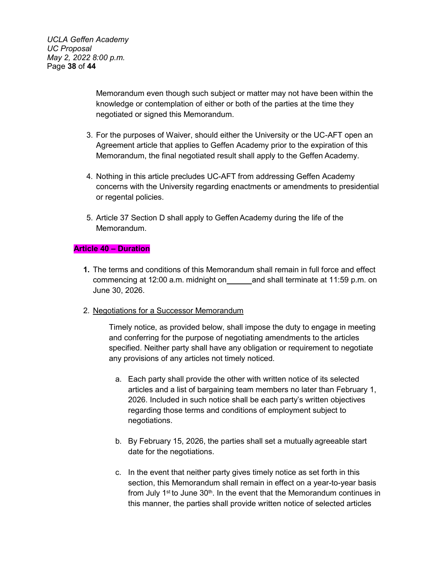*UCLA Geffen Academy UC Proposal May 2, 2022 8:00 p.m.* Page **38** of **44**

> Memorandum even though such subject or matter may not have been within the knowledge or contemplation of either or both of the parties at the time they negotiated or signed this Memorandum.

- 3. For the purposes of Waiver, should either the University or the UC-AFT open an Agreement article that applies to Geffen Academy prior to the expiration of this Memorandum, the final negotiated result shall apply to the Geffen Academy.
- 4. Nothing in this article precludes UC-AFT from addressing Geffen Academy concerns with the University regarding enactments or amendments to presidential or regental policies.
- 5. Article 37 Section D shall apply to Geffen Academy during the life of the Memorandum.

### **Article 40 – Duration**

- **1.** The terms and conditions of this Memorandum shall remain in full force and effect commencing at 12:00 a.m. midnight on and shall terminate at 11:59 p.m. on June 30, 2026.
- 2. Negotiations for a Successor Memorandum

Timely notice, as provided below, shall impose the duty to engage in meeting and conferring for the purpose of negotiating amendments to the articles specified. Neither party shall have any obligation or requirement to negotiate any provisions of any articles not timely noticed.

- a. Each party shall provide the other with written notice of its selected articles and a list of bargaining team members no later than February 1, 2026. Included in such notice shall be each party's written objectives regarding those terms and conditions of employment subject to negotiations.
- b. By February 15, 2026, the parties shall set a mutually agreeable start date for the negotiations.
- c. In the event that neither party gives timely notice as set forth in this section, this Memorandum shall remain in effect on a year-to-year basis from July  $1<sup>st</sup>$  to June  $30<sup>th</sup>$ . In the event that the Memorandum continues in this manner, the parties shall provide written notice of selected articles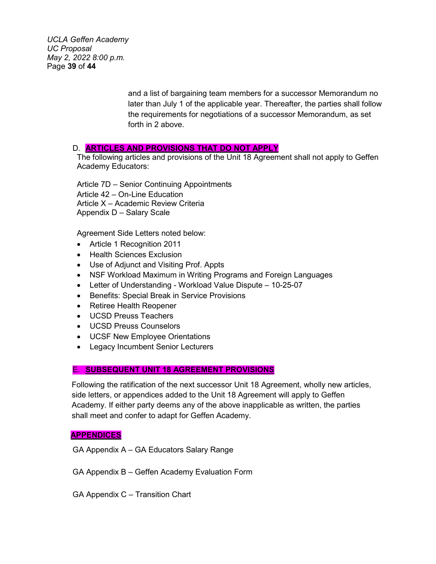*UCLA Geffen Academy UC Proposal May 2, 2022 8:00 p.m.* Page **39** of **44**

> and a list of bargaining team members for a successor Memorandum no later than July 1 of the applicable year. Thereafter, the parties shall follow the requirements for negotiations of a successor Memorandum, as set forth in 2 above.

#### D. **ARTICLES AND PROVISIONS THAT DO NOT APPLY**

The following articles and provisions of the Unit 18 Agreement shall not apply to Geffen Academy Educators:

Article 7D – Senior Continuing Appointments Article 42 – On-Line Education Article X – Academic Review Criteria Appendix D – Salary Scale

Agreement Side Letters noted below:

- Article 1 Recognition 2011
- Health Sciences Exclusion
- Use of Adjunct and Visiting Prof. Appts
- NSF Workload Maximum in Writing Programs and Foreign Languages
- Letter of Understanding Workload Value Dispute 10-25-07
- Benefits: Special Break in Service Provisions
- Retiree Health Reopener
- UCSD Preuss Teachers
- UCSD Preuss Counselors
- UCSF New Employee Orientations
- Legacy Incumbent Senior Lecturers

### E. **SUBSEQUENT UNIT 18 AGREEMENT PROVISIONS**

Following the ratification of the next successor Unit 18 Agreement, wholly new articles, side letters, or appendices added to the Unit 18 Agreement will apply to Geffen Academy. If either party deems any of the above inapplicable as written, the parties shall meet and confer to adapt for Geffen Academy.

#### **APPENDICES**

GA Appendix A – GA Educators Salary Range

GA Appendix B – Geffen Academy Evaluation Form

GA Appendix C – Transition Chart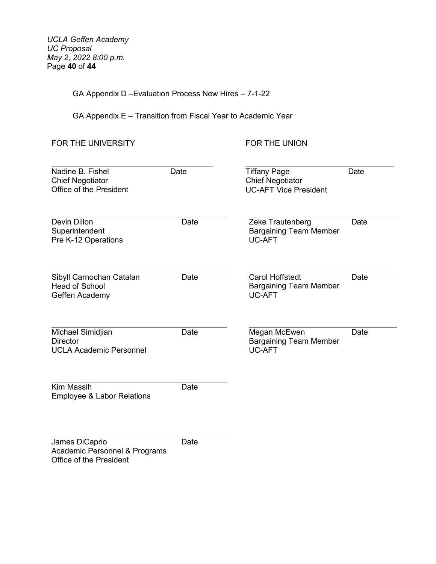*UCLA Geffen Academy UC Proposal May 2, 2022 8:00 p.m.* Page **40** of **44**

GA Appendix D –Evaluation Process New Hires – 7-1-22

GA Appendix E – Transition from Fiscal Year to Academic Year

FOR THE UNIVERSITY FOR THE UNION

| Nadine B. Fishel<br><b>Chief Negotiator</b><br>Office of the President | Date | <b>Tiffany Page</b><br><b>Chief Negotiator</b><br><b>UC-AFT Vice President</b> | Date |
|------------------------------------------------------------------------|------|--------------------------------------------------------------------------------|------|
| Devin Dillon<br>Superintendent<br>Pre K-12 Operations                  | Date | Zeke Trautenberg<br><b>Bargaining Team Member</b><br><b>UC-AFT</b>             | Date |
| Sibyll Carnochan Catalan<br><b>Head of School</b><br>Geffen Academy    | Date | <b>Carol Hoffstedt</b><br><b>Bargaining Team Member</b><br>UC-AFT              | Date |
| Michael Simidjian<br><b>Director</b><br><b>UCLA Academic Personnel</b> | Date | Megan McEwen<br><b>Bargaining Team Member</b><br><b>UC-AFT</b>                 | Date |
| <b>Kim Massih</b><br><b>Employee &amp; Labor Relations</b>             | Date |                                                                                |      |
| James DiCaprio<br>Academic Personnel & Programs                        | Date |                                                                                |      |

Office of the President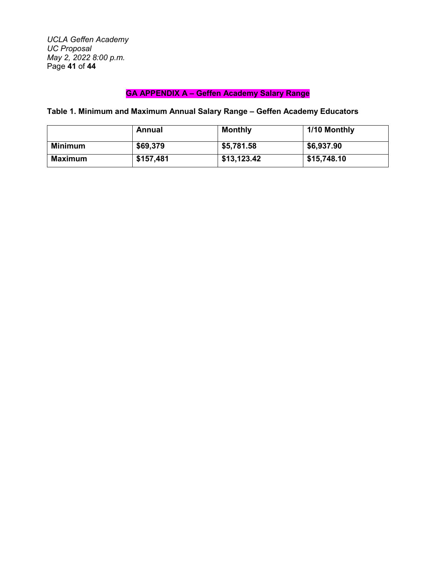*UCLA Geffen Academy UC Proposal May 2, 2022 8:00 p.m.* Page **41** of **44**

# **GA APPENDIX A – Geffen Academy Salary Range**

**Table 1. Minimum and Maximum Annual Salary Range – Geffen Academy Educators**

|         | Annual    | <b>Monthly</b> | 1/10 Monthly |
|---------|-----------|----------------|--------------|
| Minimum | \$69,379  | \$5,781.58     | \$6,937.90   |
| Maximum | \$157,481 | \$13,123.42    | \$15,748.10  |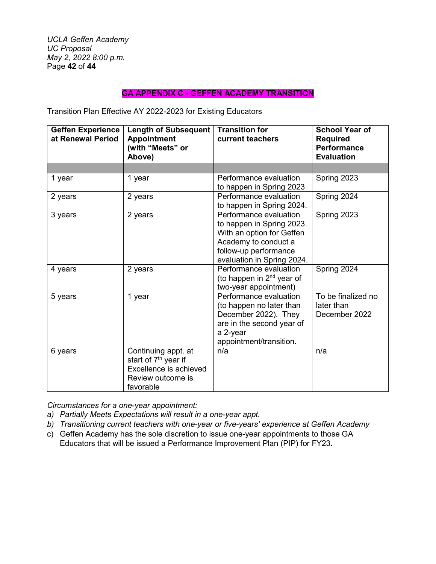*UCLA Geffen Academy UC Proposal May 2, 2022 8:00 p.m.* Page **42** of **44**

### **GA APPENDIX C - GEFFEN ACADEMY TRANSITION**

Transition Plan Effective AY 2022-2023 for Existing Educators

| <b>Geffen Experience</b><br>at Renewal Period | <b>Length of Subsequent</b><br><b>Appointment</b><br>(with "Meets" or<br>Above)                                     | <b>Transition for</b><br>current teachers                                                                                                                       | <b>School Year of</b><br><b>Required</b><br><b>Performance</b><br><b>Evaluation</b> |
|-----------------------------------------------|---------------------------------------------------------------------------------------------------------------------|-----------------------------------------------------------------------------------------------------------------------------------------------------------------|-------------------------------------------------------------------------------------|
|                                               |                                                                                                                     |                                                                                                                                                                 |                                                                                     |
| 1 year                                        | 1 year                                                                                                              | Performance evaluation<br>to happen in Spring 2023                                                                                                              | Spring 2023                                                                         |
| 2 years                                       | 2 years                                                                                                             | Performance evaluation<br>to happen in Spring 2024.                                                                                                             | Spring 2024                                                                         |
| 3 years                                       | 2 years                                                                                                             | Performance evaluation<br>to happen in Spring 2023.<br>With an option for Geffen<br>Academy to conduct a<br>follow-up performance<br>evaluation in Spring 2024. | Spring 2023                                                                         |
| 4 years                                       | 2 years                                                                                                             | Performance evaluation<br>(to happen in $2^{nd}$ year of<br>two-year appointment)                                                                               | Spring 2024                                                                         |
| 5 years                                       | 1 year                                                                                                              | Performance evaluation<br>(to happen no later than<br>December 2022). They<br>are in the second year of<br>a 2-year<br>appointment/transition.                  | To be finalized no<br>later than<br>December 2022                                   |
| 6 years                                       | Continuing appt. at<br>start of 7 <sup>th</sup> year if<br>Excellence is achieved<br>Review outcome is<br>favorable | n/a                                                                                                                                                             | n/a                                                                                 |

*Circumstances for a one-year appointment:* 

- *a) Partially Meets Expectations will result in a one-year appt.*
- *b) Transitioning current teachers with one-year or five-years' experience at Geffen Academy*
- c) Geffen Academy has the sole discretion to issue one-year appointments to those GA Educators that will be issued a Performance Improvement Plan (PIP) for FY23.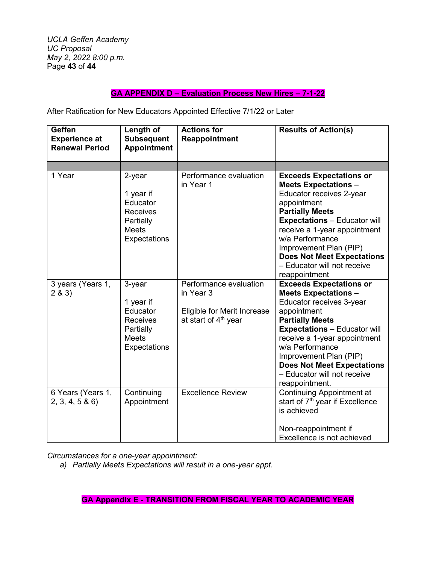*UCLA Geffen Academy UC Proposal May 2, 2022 8:00 p.m.* Page **43** of **44**

# **GA APPENDIX D – Evaluation Process New Hires – 7-1-22**

After Ratification for New Educators Appointed Effective 7/1/22 or Later

| Geffen<br><b>Experience at</b><br><b>Renewal Period</b> | Length of<br><b>Subsequent</b><br><b>Appointment</b>                                            | <b>Actions for</b><br>Reappointment                                                          | <b>Results of Action(s)</b>                                                                                                                                                                                                                                                                                                                  |
|---------------------------------------------------------|-------------------------------------------------------------------------------------------------|----------------------------------------------------------------------------------------------|----------------------------------------------------------------------------------------------------------------------------------------------------------------------------------------------------------------------------------------------------------------------------------------------------------------------------------------------|
|                                                         |                                                                                                 |                                                                                              |                                                                                                                                                                                                                                                                                                                                              |
| 1 Year                                                  | 2-year<br>1 year if<br>Educator<br><b>Receives</b><br>Partially<br><b>Meets</b><br>Expectations | Performance evaluation<br>in Year 1                                                          | <b>Exceeds Expectations or</b><br><b>Meets Expectations -</b><br>Educator receives 2-year<br>appointment<br><b>Partially Meets</b><br><b>Expectations - Educator will</b><br>receive a 1-year appointment<br>w/a Performance<br>Improvement Plan (PIP)<br><b>Does Not Meet Expectations</b><br>- Educator will not receive<br>reappointment  |
| 3 years (Years 1,<br>2 & 3)                             | 3-year<br>1 year if<br>Educator<br><b>Receives</b><br>Partially<br><b>Meets</b><br>Expectations | Performance evaluation<br>in Year 3<br>Eligible for Merit Increase<br>at start of $4th$ year | <b>Exceeds Expectations or</b><br><b>Meets Expectations -</b><br>Educator receives 3-year<br>appointment<br><b>Partially Meets</b><br><b>Expectations - Educator will</b><br>receive a 1-year appointment<br>w/a Performance<br>Improvement Plan (PIP)<br><b>Does Not Meet Expectations</b><br>- Educator will not receive<br>reappointment. |
| 6 Years (Years 1,<br>2, 3, 4, 5 & 6                     | Continuing<br>Appointment                                                                       | <b>Excellence Review</b>                                                                     | Continuing Appointment at<br>start of 7 <sup>th</sup> year if Excellence<br>is achieved<br>Non-reappointment if<br>Excellence is not achieved                                                                                                                                                                                                |

*Circumstances for a one-year appointment:* 

*a) Partially Meets Expectations will result in a one-year appt.*

**GA Appendix E - TRANSITION FROM FISCAL YEAR TO ACADEMIC YEAR**